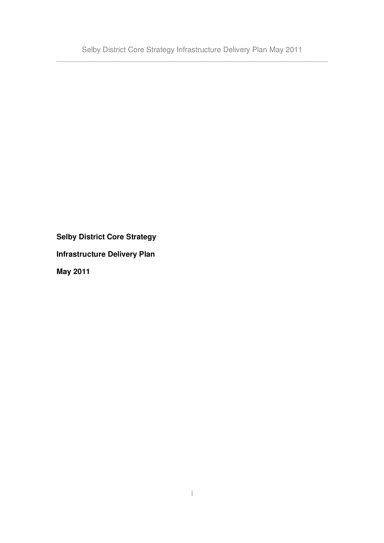**Selby District Core Strategy**

**Infrastructure Delivery Plan**

**May 2011**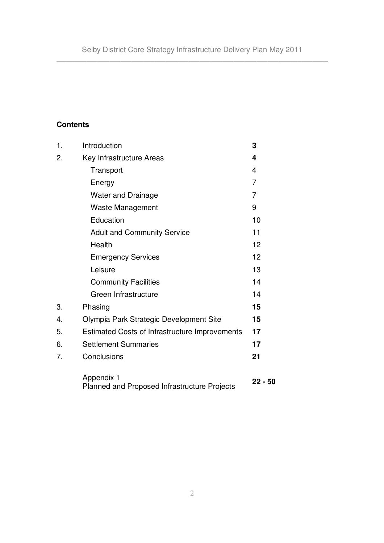# **Contents**

| 1. | Introduction                                               | 3         |
|----|------------------------------------------------------------|-----------|
| 2. | Key Infrastructure Areas                                   | 4         |
|    | Transport                                                  | 4         |
|    | Energy                                                     | 7         |
|    | <b>Water and Drainage</b>                                  | 7         |
|    | Waste Management                                           | 9         |
|    | Education                                                  | 10        |
|    | <b>Adult and Community Service</b>                         | 11        |
|    | Health                                                     | 12        |
|    | <b>Emergency Services</b>                                  | 12        |
|    | Leisure                                                    | 13        |
|    | <b>Community Facilities</b>                                | 14        |
|    | Green Infrastructure                                       | 14        |
| 3. | Phasing                                                    | 15        |
| 4. | Olympia Park Strategic Development Site                    | 15        |
| 5. | <b>Estimated Costs of Infrastructure Improvements</b>      | 17        |
| 6. | <b>Settlement Summaries</b>                                | 17        |
| 7. | Conclusions                                                | 21        |
|    | Appendix 1<br>Planned and Proposed Infrastructure Projects | $22 - 50$ |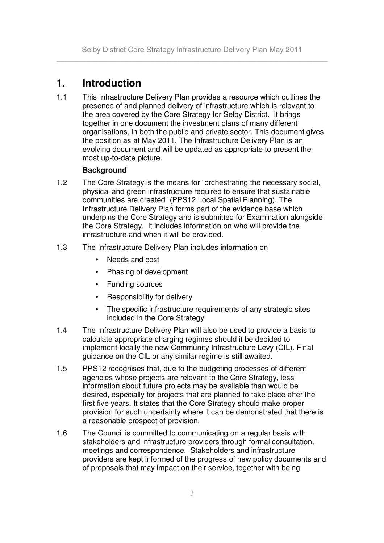# **1. Introduction**

1.1 This Infrastructure Delivery Plan provides a resource which outlines the presence of and planned delivery of infrastructure which is relevant to the area covered by the Core Strategy for Selby District. It brings together in one document the investment plans of many different organisations, in both the public and private sector. This document gives the position as at May 2011. The Infrastructure Delivery Plan is an evolving document and will be updated as appropriate to present the most up-to-date picture.

### **Background**

- 1.2 The Core Strategy is the means for "orchestrating the necessary social, physical and green infrastructure required to ensure that sustainable communities are created" (PPS12 Local Spatial Planning). The Infrastructure Delivery Plan forms part of the evidence base which underpins the Core Strategy and is submitted for Examination alongside the Core Strategy. It includes information on who will provide the infrastructure and when it will be provided.
- 1.3 The Infrastructure Delivery Plan includes information on
	- Needs and cost
	- Phasing of development
	- Funding sources
	- Responsibility for delivery
	- The specific infrastructure requirements of any strategic sites included in the Core Strategy
- 1.4 The Infrastructure Delivery Plan will also be used to provide a basis to calculate appropriate charging regimes should it be decided to implement locally the new Community Infrastructure Levy (CIL). Final guidance on the CIL or any similar regime is still awaited.
- 1.5 PPS12 recognises that, due to the budgeting processes of different agencies whose projects are relevant to the Core Strategy, less information about future projects may be available than would be desired, especially for projects that are planned to take place after the first five years. It states that the Core Strategy should make proper provision for such uncertainty where it can be demonstrated that there is a reasonable prospect of provision.
- 1.6 The Council is committed to communicating on a regular basis with stakeholders and infrastructure providers through formal consultation, meetings and correspondence. Stakeholders and infrastructure providers are kept informed of the progress of new policy documents and of proposals that may impact on their service, together with being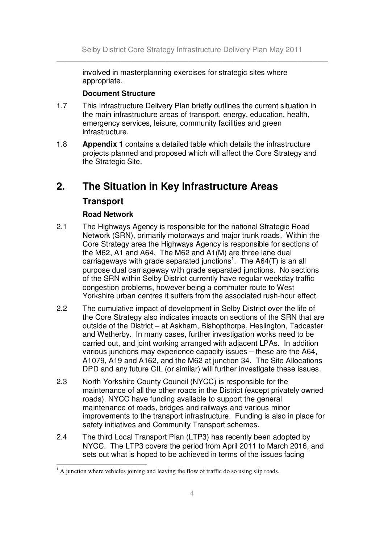involved in masterplanning exercises for strategic sites where appropriate.

#### **Document Structure**

- 1.7 This Infrastructure Delivery Plan briefly outlines the current situation in the main infrastructure areas of transport, energy, education, health, emergency services, leisure, community facilities and green infrastructure.
- 1.8 **Appendix 1** contains a detailed table which details the infrastructure projects planned and proposed which will affect the Core Strategy and the Strategic Site.

# **2. The Situation in Key Infrastructure Areas**

## **Transport**

### **Road Network**

- 2.1 The Highways Agency is responsible for the national Strategic Road Network (SRN), primarily motorways and major trunk roads. Within the Core Strategy area the Highways Agency is responsible for sections of the M62, A1 and A64. The M62 and A1(M) are three lane dual carriageways with grade separated junctions<sup>1</sup>. The A64(T) is an all purpose dual carriageway with grade separated junctions. No sections of the SRN within Selby District currently have regular weekday traffic congestion problems, however being a commuter route to West Yorkshire urban centres it suffers from the associated rush-hour effect.
- 2.2 The cumulative impact of development in Selby District over the life of the Core Strategy also indicates impacts on sections of the SRN that are outside of the District – at Askham, Bishopthorpe, Heslington, Tadcaster and Wetherby. In many cases, further investigation works need to be carried out, and joint working arranged with adjacent LPAs. In addition various junctions may experience capacity issues – these are the A64, A1079, A19 and A162, and the M62 at junction 34. The Site Allocations DPD and any future CIL (or similar) will further investigate these issues.
- 2.3 North Yorkshire County Council (NYCC) is responsible for the maintenance of all the other roads in the District (except privately owned roads). NYCC have funding available to support the general maintenance of roads, bridges and railways and various minor improvements to the transport infrastructure. Funding is also in place for safety initiatives and Community Transport schemes.
- 2.4 The third Local Transport Plan (LTP3) has recently been adopted by NYCC. The LTP3 covers the period from April 2011 to March 2016, and sets out what is hoped to be achieved in terms of the issues facing

 $<sup>1</sup>$  A junction where vehicles joining and leaving the flow of traffic do so using slip roads.</sup>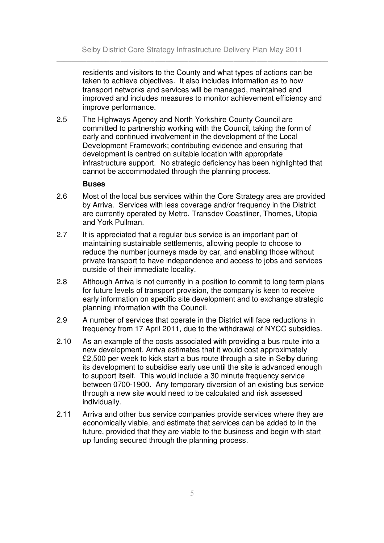residents and visitors to the County and what types of actions can be taken to achieve objectives. It also includes information as to how transport networks and services will be managed, maintained and improved and includes measures to monitor achievement efficiency and improve performance.

2.5 The Highways Agency and North Yorkshire County Council are committed to partnership working with the Council, taking the form of early and continued involvement in the development of the Local Development Framework; contributing evidence and ensuring that development is centred on suitable location with appropriate infrastructure support. No strategic deficiency has been highlighted that cannot be accommodated through the planning process.

#### **Buses**

- 2.6 Most of the local bus services within the Core Strategy area are provided by Arriva. Services with less coverage and/or frequency in the District are currently operated by Metro, Transdev Coastliner, Thornes, Utopia and York Pullman.
- 2.7 It is appreciated that a regular bus service is an important part of maintaining sustainable settlements, allowing people to choose to reduce the number journeys made by car, and enabling those without private transport to have independence and access to jobs and services outside of their immediate locality.
- 2.8 Although Arriva is not currently in a position to commit to long term plans for future levels of transport provision, the company is keen to receive early information on specific site development and to exchange strategic planning information with the Council.
- 2.9 A number of services that operate in the District will face reductions in frequency from 17 April 2011, due to the withdrawal of NYCC subsidies.
- 2.10 As an example of the costs associated with providing a bus route into a new development, Arriva estimates that it would cost approximately £2,500 per week to kick start a bus route through a site in Selby during its development to subsidise early use until the site is advanced enough to support itself. This would include a 30 minute frequency service between 0700-1900. Any temporary diversion of an existing bus service through a new site would need to be calculated and risk assessed individually.
- 2.11 Arriva and other bus service companies provide services where they are economically viable, and estimate that services can be added to in the future, provided that they are viable to the business and begin with start up funding secured through the planning process.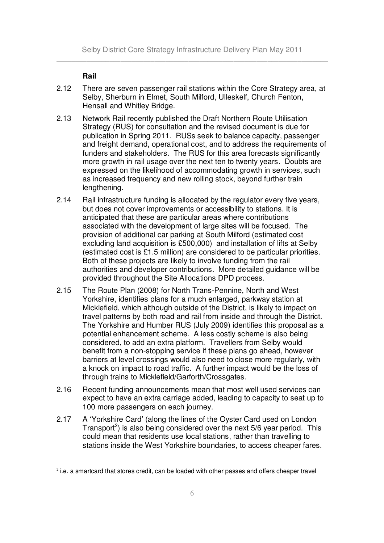#### **Rail**

- 2.12 There are seven passenger rail stations within the Core Strategy area, at Selby, Sherburn in Elmet, South Milford, Ulleskelf, Church Fenton, Hensall and Whitley Bridge.
- 2.13 Network Rail recently published the Draft Northern Route Utilisation Strategy (RUS) for consultation and the revised document is due for publication in Spring 2011. RUSs seek to balance capacity, passenger and freight demand, operational cost, and to address the requirements of funders and stakeholders. The RUS for this area forecasts significantly more growth in rail usage over the next ten to twenty years. Doubts are expressed on the likelihood of accommodating growth in services, such as increased frequency and new rolling stock, beyond further train lengthening.
- 2.14 Rail infrastructure funding is allocated by the regulator every five years, but does not cover improvements or accessibility to stations. It is anticipated that these are particular areas where contributions associated with the development of large sites will be focused. The provision of additional car parking at South Milford (estimated cost excluding land acquisition is £500,000) and installation of lifts at Selby (estimated cost is £1.5 million) are considered to be particular priorities. Both of these projects are likely to involve funding from the rail authorities and developer contributions. More detailed guidance will be provided throughout the Site Allocations DPD process.
- 2.15 The Route Plan (2008) for North Trans-Pennine, North and West Yorkshire, identifies plans for a much enlarged, parkway station at Micklefield, which although outside of the District, is likely to impact on travel patterns by both road and rail from inside and through the District. The Yorkshire and Humber RUS (July 2009) identifies this proposal as a potential enhancement scheme. A less costly scheme is also being considered, to add an extra platform. Travellers from Selby would benefit from a non-stopping service if these plans go ahead, however barriers at level crossings would also need to close more regularly, with a knock on impact to road traffic. A further impact would be the loss of through trains to Micklefield/Garforth/Crossgates.
- 2.16 Recent funding announcements mean that most well used services can expect to have an extra carriage added, leading to capacity to seat up to 100 more passengers on each journey.
- 2.17 A 'Yorkshire Card' (along the lines of the Oyster Card used on London Transport<sup>2</sup>) is also being considered over the next 5/6 year period. This could mean that residents use local stations, rather than travelling to stations inside the West Yorkshire boundaries, to access cheaper fares.

 $^2$  i.e. a smartcard that stores credit, can be loaded with other passes and offers cheaper travel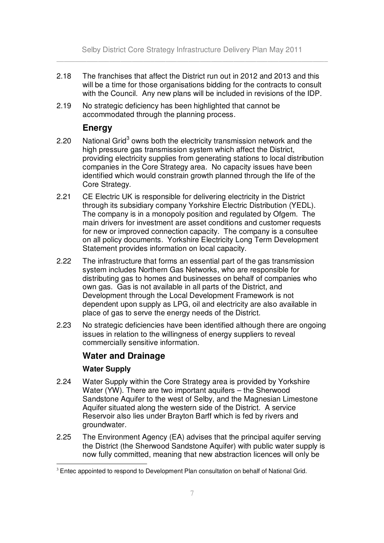- 2.18 The franchises that affect the District run out in 2012 and 2013 and this will be a time for those organisations bidding for the contracts to consult with the Council. Any new plans will be included in revisions of the IDP.
- 2.19 No strategic deficiency has been highlighted that cannot be accommodated through the planning process.

## **Energy**

- 2.20 National Grid<sup>3</sup> owns both the electricity transmission network and the high pressure gas transmission system which affect the District, providing electricity supplies from generating stations to local distribution companies in the Core Strategy area. No capacity issues have been identified which would constrain growth planned through the life of the Core Strategy.
- 2.21 CE Electric UK is responsible for delivering electricity in the District through its subsidiary company Yorkshire Electric Distribution (YEDL). The company is in a monopoly position and regulated by Ofgem. The main drivers for investment are asset conditions and customer requests for new or improved connection capacity. The company is a consultee on all policy documents. Yorkshire Electricity Long Term Development Statement provides information on local capacity.
- 2.22 The infrastructure that forms an essential part of the gas transmission system includes Northern Gas Networks, who are responsible for distributing gas to homes and businesses on behalf of companies who own gas. Gas is not available in all parts of the District, and Development through the Local Development Framework is not dependent upon supply as LPG, oil and electricity are also available in place of gas to serve the energy needs of the District.
- 2.23 No strategic deficiencies have been identified although there are ongoing issues in relation to the willingness of energy suppliers to reveal commercially sensitive information.

## **Water and Drainage**

#### **Water Supply**

- 2.24 Water Supply within the Core Strategy area is provided by Yorkshire Water (YW). There are two important aquifers – the Sherwood Sandstone Aquifer to the west of Selby, and the Magnesian Limestone Aquifer situated along the western side of the District. A service Reservoir also lies under Brayton Barff which is fed by rivers and groundwater.
- 2.25 The Environment Agency (EA) advises that the principal aquifer serving the District (the Sherwood Sandstone Aquifer) with public water supply is now fully committed, meaning that new abstraction licences will only be

<sup>&</sup>lt;sup>3</sup> Entec appointed to respond to Development Plan consultation on behalf of National Grid.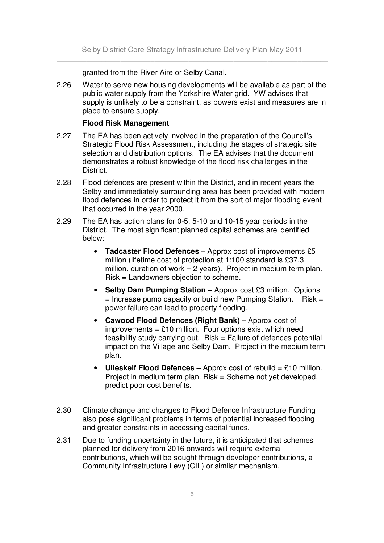granted from the River Aire or Selby Canal.

2.26 Water to serve new housing developments will be available as part of the public water supply from the Yorkshire Water grid. YW advises that supply is unlikely to be a constraint, as powers exist and measures are in place to ensure supply.

#### **Flood Risk Management**

- 2.27 The EA has been actively involved in the preparation of the Council's Strategic Flood Risk Assessment, including the stages of strategic site selection and distribution options. The EA advises that the document demonstrates a robust knowledge of the flood risk challenges in the District.
- 2.28 Flood defences are present within the District, and in recent years the Selby and immediately surrounding area has been provided with modern flood defences in order to protect it from the sort of major flooding event that occurred in the year 2000.
- 2.29 The EA has action plans for 0-5, 5-10 and 10-15 year periods in the District. The most significant planned capital schemes are identified below:
	- **Tadcaster Flood Defences** Approx cost of improvements £5 million (lifetime cost of protection at 1:100 standard is £37.3 million, duration of work  $= 2$  years). Project in medium term plan. Risk = Landowners objection to scheme.
	- **Selby Dam Pumping Station** Approx cost £3 million. Options  $=$  Increase pump capacity or build new Pumping Station. Risk  $=$ power failure can lead to property flooding.
	- **Cawood Flood Defences (Right Bank)** Approx cost of improvements =  $£10$  million. Four options exist which need feasibility study carrying out. Risk = Failure of defences potential impact on the Village and Selby Dam. Project in the medium term plan.
	- **Ulleskelf Flood Defences** Approx cost of rebuild = £10 million. Project in medium term plan. Risk = Scheme not yet developed, predict poor cost benefits.
- 2.30 Climate change and changes to Flood Defence Infrastructure Funding also pose significant problems in terms of potential increased flooding and greater constraints in accessing capital funds.
- 2.31 Due to funding uncertainty in the future, it is anticipated that schemes planned for delivery from 2016 onwards will require external contributions, which will be sought through developer contributions, a Community Infrastructure Levy (CIL) or similar mechanism.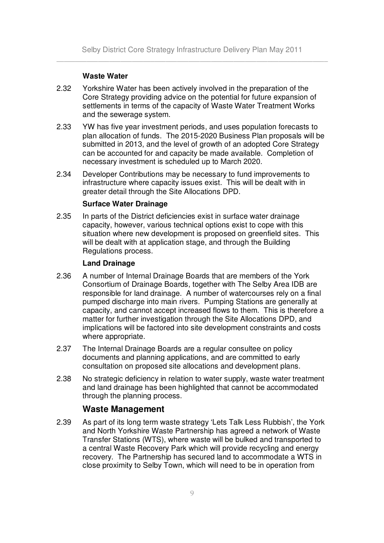#### **Waste Water**

- 2.32 Yorkshire Water has been actively involved in the preparation of the Core Strategy providing advice on the potential for future expansion of settlements in terms of the capacity of Waste Water Treatment Works and the sewerage system.
- 2.33 YW has five year investment periods, and uses population forecasts to plan allocation of funds. The 2015-2020 Business Plan proposals will be submitted in 2013, and the level of growth of an adopted Core Strategy can be accounted for and capacity be made available. Completion of necessary investment is scheduled up to March 2020.
- 2.34 Developer Contributions may be necessary to fund improvements to infrastructure where capacity issues exist. This will be dealt with in greater detail through the Site Allocations DPD.

#### **Surface Water Drainage**

2.35 In parts of the District deficiencies exist in surface water drainage capacity, however, various technical options exist to cope with this situation where new development is proposed on greenfield sites. This will be dealt with at application stage, and through the Building Regulations process.

#### **Land Drainage**

- 2.36 A number of Internal Drainage Boards that are members of the York Consortium of Drainage Boards, together with The Selby Area IDB are responsible for land drainage. A number of watercourses rely on a final pumped discharge into main rivers. Pumping Stations are generally at capacity, and cannot accept increased flows to them. This is therefore a matter for further investigation through the Site Allocations DPD, and implications will be factored into site development constraints and costs where appropriate.
- 2.37 The Internal Drainage Boards are a regular consultee on policy documents and planning applications, and are committed to early consultation on proposed site allocations and development plans.
- 2.38 No strategic deficiency in relation to water supply, waste water treatment and land drainage has been highlighted that cannot be accommodated through the planning process.

#### **Waste Management**

2.39 As part of its long term waste strategy 'Lets Talk Less Rubbish', the York and North Yorkshire Waste Partnership has agreed a network of Waste Transfer Stations (WTS), where waste will be bulked and transported to a central Waste Recovery Park which will provide recycling and energy recovery. The Partnership has secured land to accommodate a WTS in close proximity to Selby Town, which will need to be in operation from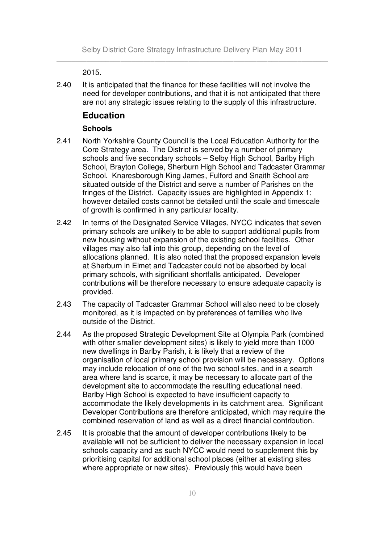2015.

2.40 It is anticipated that the finance for these facilities will not involve the need for developer contributions, and that it is not anticipated that there are not any strategic issues relating to the supply of this infrastructure.

#### **Education**

#### **Schools**

- 2.41 North Yorkshire County Council is the Local Education Authority for the Core Strategy area. The District is served by a number of primary schools and five secondary schools – Selby High School, Barlby High School, Brayton College, Sherburn High School and Tadcaster Grammar School. Knaresborough King James, Fulford and Snaith School are situated outside of the District and serve a number of Parishes on the fringes of the District. Capacity issues are highlighted in Appendix 1; however detailed costs cannot be detailed until the scale and timescale of growth is confirmed in any particular locality.
- 2.42 In terms of the Designated Service Villages, NYCC indicates that seven primary schools are unlikely to be able to support additional pupils from new housing without expansion of the existing school facilities. Other villages may also fall into this group, depending on the level of allocations planned. It is also noted that the proposed expansion levels at Sherburn in Elmet and Tadcaster could not be absorbed by local primary schools, with significant shortfalls anticipated. Developer contributions will be therefore necessary to ensure adequate capacity is provided.
- 2.43 The capacity of Tadcaster Grammar School will also need to be closely monitored, as it is impacted on by preferences of families who live outside of the District.
- 2.44 As the proposed Strategic Development Site at Olympia Park (combined with other smaller development sites) is likely to yield more than 1000 new dwellings in Barlby Parish, it is likely that a review of the organisation of local primary school provision will be necessary. Options may include relocation of one of the two school sites, and in a search area where land is scarce, it may be necessary to allocate part of the development site to accommodate the resulting educational need. Barlby High School is expected to have insufficient capacity to accommodate the likely developments in its catchment area. Significant Developer Contributions are therefore anticipated, which may require the combined reservation of land as well as a direct financial contribution.
- 2.45 It is probable that the amount of developer contributions likely to be available will not be sufficient to deliver the necessary expansion in local schools capacity and as such NYCC would need to supplement this by prioritising capital for additional school places (either at existing sites where appropriate or new sites). Previously this would have been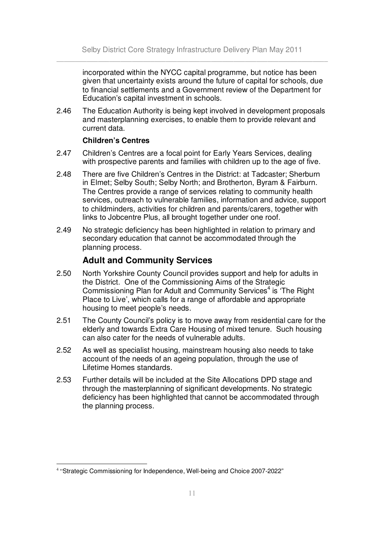incorporated within the NYCC capital programme, but notice has been given that uncertainty exists around the future of capital for schools, due to financial settlements and a Government review of the Department for Education's capital investment in schools.

2.46 The Education Authority is being kept involved in development proposals and masterplanning exercises, to enable them to provide relevant and current data.

#### **Children's Centres**

- 2.47 Children's Centres are a focal point for Early Years Services, dealing with prospective parents and families with children up to the age of five.
- 2.48 There are five Children's Centres in the District: at Tadcaster; Sherburn in Elmet; Selby South; Selby North; and Brotherton, Byram & Fairburn. The Centres provide a range of services relating to community health services, outreach to vulnerable families, information and advice, support to childminders, activities for children and parents/carers, together with links to Jobcentre Plus, all brought together under one roof.
- 2.49 No strategic deficiency has been highlighted in relation to primary and secondary education that cannot be accommodated through the planning process.

### **Adult and Community Services**

- 2.50 North Yorkshire County Council provides support and help for adults in the District. One of the Commissioning Aims of the Strategic Commissioning Plan for Adult and Community Services<sup>4</sup> is 'The Right Place to Live', which calls for a range of affordable and appropriate housing to meet people's needs.
- 2.51 The County Council's policy is to move away from residential care for the elderly and towards Extra Care Housing of mixed tenure. Such housing can also cater for the needs of vulnerable adults.
- 2.52 As well as specialist housing, mainstream housing also needs to take account of the needs of an ageing population, through the use of Lifetime Homes standards.
- 2.53 Further details will be included at the Site Allocations DPD stage and through the masterplanning of significant developments. No strategic deficiency has been highlighted that cannot be accommodated through the planning process.

<sup>&</sup>lt;sup>4</sup> "Strategic Commissioning for Independence, Well-being and Choice 2007-2022"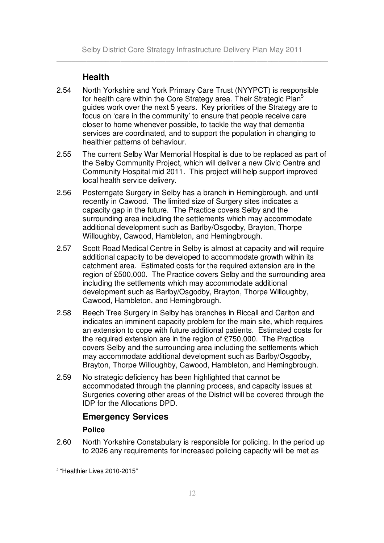# **Health**

- 2.54 North Yorkshire and York Primary Care Trust (NYYPCT) is responsible for health care within the Core Strategy area. Their Strategic Plan<sup>5</sup> guides work over the next 5 years. Key priorities of the Strategy are to focus on 'care in the community' to ensure that people receive care closer to home whenever possible, to tackle the way that dementia services are coordinated, and to support the population in changing to healthier patterns of behaviour.
- 2.55 The current Selby War Memorial Hospital is due to be replaced as part of the Selby Community Project, which will deliver a new Civic Centre and Community Hospital mid 2011. This project will help support improved local health service delivery.
- 2.56 Posterngate Surgery in Selby has a branch in Hemingbrough, and until recently in Cawood. The limited size of Surgery sites indicates a capacity gap in the future. The Practice covers Selby and the surrounding area including the settlements which may accommodate additional development such as Barlby/Osgodby, Brayton, Thorpe Willoughby, Cawood, Hambleton, and Hemingbrough.
- 2.57 Scott Road Medical Centre in Selby is almost at capacity and will require additional capacity to be developed to accommodate growth within its catchment area. Estimated costs for the required extension are in the region of £500,000. The Practice covers Selby and the surrounding area including the settlements which may accommodate additional development such as Barlby/Osgodby, Brayton, Thorpe Willoughby, Cawood, Hambleton, and Hemingbrough.
- 2.58 Beech Tree Surgery in Selby has branches in Riccall and Carlton and indicates an imminent capacity problem for the main site, which requires an extension to cope with future additional patients. Estimated costs for the required extension are in the region of £750,000. The Practice covers Selby and the surrounding area including the settlements which may accommodate additional development such as Barlby/Osgodby, Brayton, Thorpe Willoughby, Cawood, Hambleton, and Hemingbrough.
- 2.59 No strategic deficiency has been highlighted that cannot be accommodated through the planning process, and capacity issues at Surgeries covering other areas of the District will be covered through the IDP for the Allocations DPD.

# **Emergency Services**

#### **Police**

2.60 North Yorkshire Constabulary is responsible for policing. In the period up to 2026 any requirements for increased policing capacity will be met as

<sup>5</sup> "Healthier Lives 2010-2015"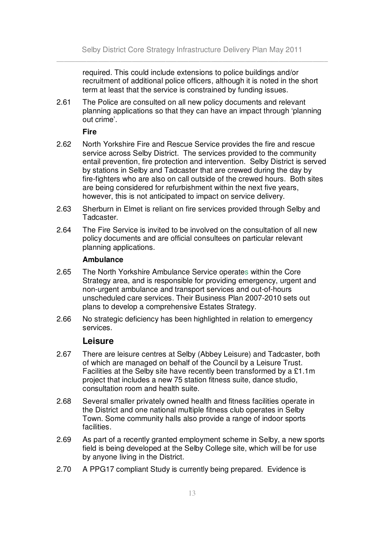required. This could include extensions to police buildings and/or recruitment of additional police officers, although it is noted in the short term at least that the service is constrained by funding issues.

2.61 The Police are consulted on all new policy documents and relevant planning applications so that they can have an impact through 'planning out crime'.

**Fire**

- 2.62 North Yorkshire Fire and Rescue Service provides the fire and rescue service across Selby District. The services provided to the community entail prevention, fire protection and intervention. Selby District is served by stations in Selby and Tadcaster that are crewed during the day by fire-fighters who are also on call outside of the crewed hours. Both sites are being considered for refurbishment within the next five years, however, this is not anticipated to impact on service delivery.
- 2.63 Sherburn in Elmet is reliant on fire services provided through Selby and Tadcaster.
- 2.64 The Fire Service is invited to be involved on the consultation of all new policy documents and are official consultees on particular relevant planning applications.

#### **Ambulance**

- 2.65 The North Yorkshire Ambulance Service operates within the Core Strategy area, and is responsible for providing emergency, urgent and non-urgent ambulance and transport services and out-of-hours unscheduled care services. Their Business Plan 2007-2010 sets out plans to develop a comprehensive Estates Strategy.
- 2.66 No strategic deficiency has been highlighted in relation to emergency services.

#### **Leisure**

- 2.67 There are leisure centres at Selby (Abbey Leisure) and Tadcaster, both of which are managed on behalf of the Council by a Leisure Trust. Facilities at the Selby site have recently been transformed by a £1.1m project that includes a new 75 station fitness suite, dance studio, consultation room and health suite.
- 2.68 Several smaller privately owned health and fitness facilities operate in the District and one national multiple fitness club operates in Selby Town. Some community halls also provide a range of indoor sports facilities.
- 2.69 As part of a recently granted employment scheme in Selby, a new sports field is being developed at the Selby College site, which will be for use by anyone living in the District.
- 2.70 A PPG17 compliant Study is currently being prepared. Evidence is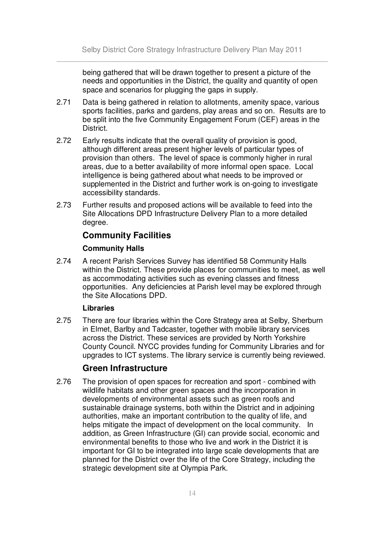being gathered that will be drawn together to present a picture of the needs and opportunities in the District, the quality and quantity of open space and scenarios for plugging the gaps in supply.

- 2.71 Data is being gathered in relation to allotments, amenity space, various sports facilities, parks and gardens, play areas and so on. Results are to be split into the five Community Engagement Forum (CEF) areas in the District.
- 2.72 Early results indicate that the overall quality of provision is good, although different areas present higher levels of particular types of provision than others. The level of space is commonly higher in rural areas, due to a better availability of more informal open space. Local intelligence is being gathered about what needs to be improved or supplemented in the District and further work is on-going to investigate accessibility standards.
- 2.73 Further results and proposed actions will be available to feed into the Site Allocations DPD Infrastructure Delivery Plan to a more detailed degree.

# **Community Facilities**

#### **Community Halls**

2.74 A recent Parish Services Survey has identified 58 Community Halls within the District. These provide places for communities to meet, as well as accommodating activities such as evening classes and fitness opportunities. Any deficiencies at Parish level may be explored through the Site Allocations DPD.

#### **Libraries**

2.75 There are four libraries within the Core Strategy area at Selby, Sherburn in Elmet, Barlby and Tadcaster, together with mobile library services across the District. These services are provided by North Yorkshire County Council. NYCC provides funding for Community Libraries and for upgrades to ICT systems. The library service is currently being reviewed.

#### **Green Infrastructure**

2.76 The provision of open spaces for recreation and sport - combined with wildlife habitats and other green spaces and the incorporation in developments of environmental assets such as green roofs and sustainable drainage systems, both within the District and in adjoining authorities, make an important contribution to the quality of life, and helps mitigate the impact of development on the local community. In addition, as Green Infrastructure (GI) can provide social, economic and environmental benefits to those who live and work in the District it is important for GI to be integrated into large scale developments that are planned for the District over the life of the Core Strategy, including the strategic development site at Olympia Park.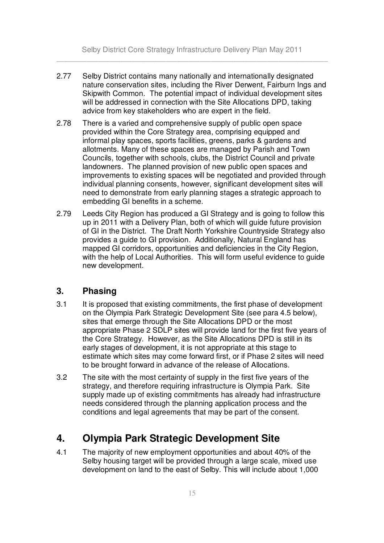Selby District Core Strategy Infrastructure Delivery Plan May 2011 \_\_\_\_\_\_\_\_\_\_\_\_\_\_\_\_\_\_\_\_\_\_\_\_\_\_\_\_\_\_\_\_\_\_\_\_\_\_\_\_\_\_\_\_\_\_\_\_\_\_\_\_\_\_\_\_\_\_\_\_\_\_\_\_\_\_\_\_\_\_\_\_

- 2.77 Selby District contains many nationally and internationally designated nature conservation sites, including the River Derwent, Fairburn Ings and Skipwith Common. The potential impact of individual development sites will be addressed in connection with the Site Allocations DPD, taking advice from key stakeholders who are expert in the field.
- 2.78 There is a varied and comprehensive supply of public open space provided within the Core Strategy area, comprising equipped and informal play spaces, sports facilities, greens, parks & gardens and allotments. Many of these spaces are managed by Parish and Town Councils, together with schools, clubs, the District Council and private landowners. The planned provision of new public open spaces and improvements to existing spaces will be negotiated and provided through individual planning consents, however, significant development sites will need to demonstrate from early planning stages a strategic approach to embedding GI benefits in a scheme.
- 2.79 Leeds City Region has produced a GI Strategy and is going to follow this up in 2011 with a Delivery Plan, both of which will guide future provision of GI in the District. The Draft North Yorkshire Countryside Strategy also provides a guide to GI provision. Additionally, Natural England has mapped GI corridors, opportunities and deficiencies in the City Region, with the help of Local Authorities. This will form useful evidence to guide new development.

## **3. Phasing**

- 3.1 It is proposed that existing commitments, the first phase of development on the Olympia Park Strategic Development Site (see para 4.5 below), sites that emerge through the Site Allocations DPD or the most appropriate Phase 2 SDLP sites will provide land for the first five years of the Core Strategy. However, as the Site Allocations DPD is still in its early stages of development, it is not appropriate at this stage to estimate which sites may come forward first, or if Phase 2 sites will need to be brought forward in advance of the release of Allocations.
- 3.2 The site with the most certainty of supply in the first five years of the strategy, and therefore requiring infrastructure is Olympia Park. Site supply made up of existing commitments has already had infrastructure needs considered through the planning application process and the conditions and legal agreements that may be part of the consent.

# **4. Olympia Park Strategic Development Site**

4.1 The majority of new employment opportunities and about 40% of the Selby housing target will be provided through a large scale, mixed use development on land to the east of Selby. This will include about 1,000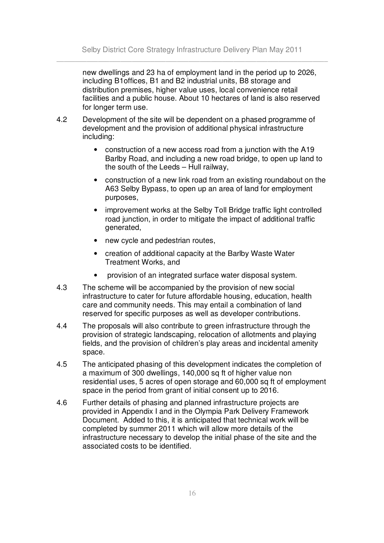new dwellings and 23 ha of employment land in the period up to 2026, including B1offices, B1 and B2 industrial units, B8 storage and distribution premises, higher value uses, local convenience retail facilities and a public house. About 10 hectares of land is also reserved for longer term use.

- 4.2 Development of the site will be dependent on a phased programme of development and the provision of additional physical infrastructure including:
	- construction of a new access road from a junction with the A19 Barlby Road, and including a new road bridge, to open up land to the south of the Leeds – Hull railway,
	- construction of a new link road from an existing roundabout on the A63 Selby Bypass, to open up an area of land for employment purposes,
	- improvement works at the Selby Toll Bridge traffic light controlled road junction, in order to mitigate the impact of additional traffic generated,
	- new cycle and pedestrian routes,
	- creation of additional capacity at the Barlby Waste Water Treatment Works, and
	- provision of an integrated surface water disposal system.
- 4.3 The scheme will be accompanied by the provision of new social infrastructure to cater for future affordable housing, education, health care and community needs. This may entail a combination of land reserved for specific purposes as well as developer contributions.
- 4.4 The proposals will also contribute to green infrastructure through the provision of strategic landscaping, relocation of allotments and playing fields, and the provision of children's play areas and incidental amenity space.
- 4.5 The anticipated phasing of this development indicates the completion of a maximum of 300 dwellings, 140,000 sq ft of higher value non residential uses, 5 acres of open storage and 60,000 sq ft of employment space in the period from grant of initial consent up to 2016.
- 4.6 Further details of phasing and planned infrastructure projects are provided in Appendix I and in the Olympia Park Delivery Framework Document. Added to this, it is anticipated that technical work will be completed by summer 2011 which will allow more details of the infrastructure necessary to develop the initial phase of the site and the associated costs to be identified.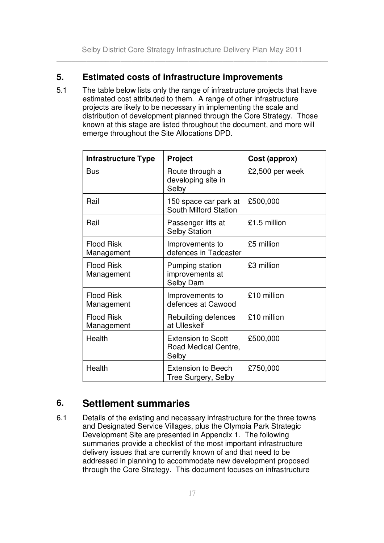## **5. Estimated costs of infrastructure improvements**

5.1 The table below lists only the range of infrastructure projects that have estimated cost attributed to them. A range of other infrastructure projects are likely to be necessary in implementing the scale and distribution of development planned through the Core Strategy. Those known at this stage are listed throughout the document, and more will emerge throughout the Site Allocations DPD.

| <b>Infrastructure Type</b>      | <b>Project</b>                                             | Cost (approx)   |
|---------------------------------|------------------------------------------------------------|-----------------|
| <b>Bus</b>                      | Route through a<br>developing site in<br>Selby             | £2,500 per week |
| Rail                            | 150 space car park at<br>South Milford Station             | £500,000        |
| Rail                            | Passenger lifts at<br><b>Selby Station</b>                 | £1.5 million    |
| <b>Flood Risk</b><br>Management | Improvements to<br>defences in Tadcaster                   | £5 million      |
| <b>Flood Risk</b><br>Management | Pumping station<br>improvements at<br>Selby Dam            | £3 million      |
| <b>Flood Risk</b><br>Management | Improvements to<br>defences at Cawood                      | £10 million     |
| <b>Flood Risk</b><br>Management | Rebuilding defences<br>at Ulleskelf                        | £10 million     |
| Health                          | <b>Extension to Scott</b><br>Road Medical Centre,<br>Selby | £500,000        |
| Health                          | <b>Extension to Beech</b><br>Tree Surgery, Selby           | £750,000        |

# **6. Settlement summaries**

6.1 Details of the existing and necessary infrastructure for the three towns and Designated Service Villages, plus the Olympia Park Strategic Development Site are presented in Appendix 1. The following summaries provide a checklist of the most important infrastructure delivery issues that are currently known of and that need to be addressed in planning to accommodate new development proposed through the Core Strategy. This document focuses on infrastructure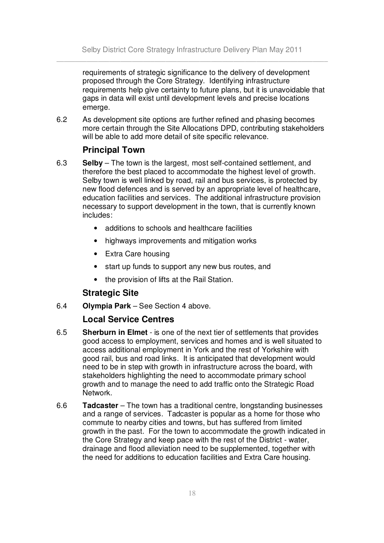requirements of strategic significance to the delivery of development proposed through the Core Strategy. Identifying infrastructure requirements help give certainty to future plans, but it is unavoidable that gaps in data will exist until development levels and precise locations emerge.

6.2 As development site options are further refined and phasing becomes more certain through the Site Allocations DPD, contributing stakeholders will be able to add more detail of site specific relevance.

# **Principal Town**

- 6.3 **Selby** The town is the largest, most self-contained settlement, and therefore the best placed to accommodate the highest level of growth. Selby town is well linked by road, rail and bus services, is protected by new flood defences and is served by an appropriate level of healthcare, education facilities and services. The additional infrastructure provision necessary to support development in the town, that is currently known includes:
	- additions to schools and healthcare facilities
	- highways improvements and mitigation works
	- Extra Care housing
	- start up funds to support any new bus routes, and
	- the provision of lifts at the Rail Station.

# **Strategic Site**

6.4 **Olympia Park** – See Section 4 above.

# **Local Service Centres**

- 6.5 **Sherburn in Elmet** is one of the next tier of settlements that provides good access to employment, services and homes and is well situated to access additional employment in York and the rest of Yorkshire with good rail, bus and road links. It is anticipated that development would need to be in step with growth in infrastructure across the board, with stakeholders highlighting the need to accommodate primary school growth and to manage the need to add traffic onto the Strategic Road Network.
- 6.6 **Tadcaster** The town has a traditional centre, longstanding businesses and a range of services. Tadcaster is popular as a home for those who commute to nearby cities and towns, but has suffered from limited growth in the past. For the town to accommodate the growth indicated in the Core Strategy and keep pace with the rest of the District - water, drainage and flood alleviation need to be supplemented, together with the need for additions to education facilities and Extra Care housing.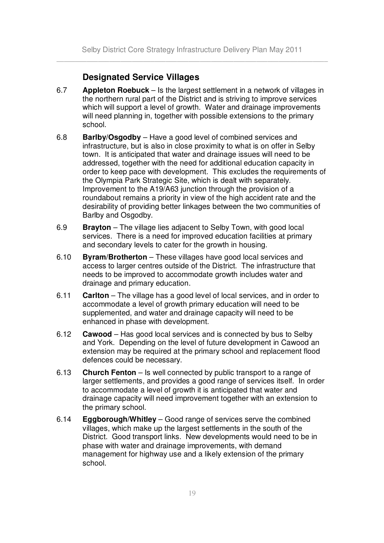# **Designated Service Villages**

- 6.7 **Appleton Roebuck** Is the largest settlement in a network of villages in the northern rural part of the District and is striving to improve services which will support a level of growth. Water and drainage improvements will need planning in, together with possible extensions to the primary school.
- 6.8 **Barlby/Osgodby** Have a good level of combined services and infrastructure, but is also in close proximity to what is on offer in Selby town. It is anticipated that water and drainage issues will need to be addressed, together with the need for additional education capacity in order to keep pace with development. This excludes the requirements of the Olympia Park Strategic Site, which is dealt with separately. Improvement to the A19/A63 junction through the provision of a roundabout remains a priority in view of the high accident rate and the desirability of providing better linkages between the two communities of Barlby and Osgodby.
- 6.9 **Brayton** The village lies adjacent to Selby Town, with good local services. There is a need for improved education facilities at primary and secondary levels to cater for the growth in housing.
- 6.10 **Byram/Brotherton** These villages have good local services and access to larger centres outside of the District. The infrastructure that needs to be improved to accommodate growth includes water and drainage and primary education.
- 6.11 **Carlton** The village has a good level of local services, and in order to accommodate a level of growth primary education will need to be supplemented, and water and drainage capacity will need to be enhanced in phase with development.
- 6.12 **Cawood** Has good local services and is connected by bus to Selby and York. Depending on the level of future development in Cawood an extension may be required at the primary school and replacement flood defences could be necessary.
- 6.13 **Church Fenton** Is well connected by public transport to a range of larger settlements, and provides a good range of services itself. In order to accommodate a level of growth it is anticipated that water and drainage capacity will need improvement together with an extension to the primary school.
- 6.14 **Eggborough/Whitley** Good range of services serve the combined villages, which make up the largest settlements in the south of the District. Good transport links. New developments would need to be in phase with water and drainage improvements, with demand management for highway use and a likely extension of the primary school.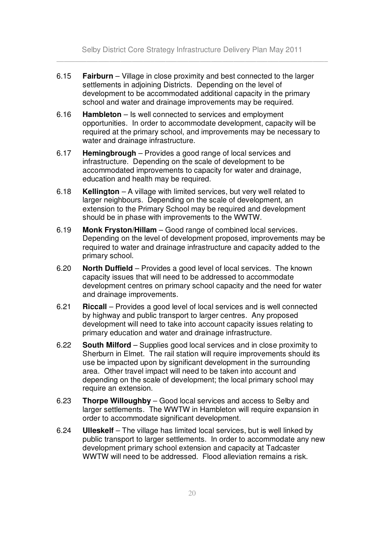Selby District Core Strategy Infrastructure Delivery Plan May 2011 \_\_\_\_\_\_\_\_\_\_\_\_\_\_\_\_\_\_\_\_\_\_\_\_\_\_\_\_\_\_\_\_\_\_\_\_\_\_\_\_\_\_\_\_\_\_\_\_\_\_\_\_\_\_\_\_\_\_\_\_\_\_\_\_\_\_\_\_\_\_\_\_

- 6.15 **Fairburn** Village in close proximity and best connected to the larger settlements in adjoining Districts. Depending on the level of development to be accommodated additional capacity in the primary school and water and drainage improvements may be required.
- 6.16 **Hambleton** Is well connected to services and employment opportunities. In order to accommodate development, capacity will be required at the primary school, and improvements may be necessary to water and drainage infrastructure.
- 6.17 **Hemingbrough** Provides a good range of local services and infrastructure. Depending on the scale of development to be accommodated improvements to capacity for water and drainage, education and health may be required.
- 6.18 **Kellington** A village with limited services, but very well related to larger neighbours. Depending on the scale of development, an extension to the Primary School may be required and development should be in phase with improvements to the WWTW.
- 6.19 **Monk Fryston/Hillam** Good range of combined local services. Depending on the level of development proposed, improvements may be required to water and drainage infrastructure and capacity added to the primary school.
- 6.20 **North Duffield** Provides a good level of local services. The known capacity issues that will need to be addressed to accommodate development centres on primary school capacity and the need for water and drainage improvements.
- 6.21 **Riccall** Provides a good level of local services and is well connected by highway and public transport to larger centres. Any proposed development will need to take into account capacity issues relating to primary education and water and drainage infrastructure.
- 6.22 **South Milford** Supplies good local services and in close proximity to Sherburn in Elmet. The rail station will require improvements should its use be impacted upon by significant development in the surrounding area. Other travel impact will need to be taken into account and depending on the scale of development; the local primary school may require an extension.
- 6.23 **Thorpe Willoughby** Good local services and access to Selby and larger settlements. The WWTW in Hambleton will require expansion in order to accommodate significant development.
- 6.24 **Ulleskelf** The village has limited local services, but is well linked by public transport to larger settlements. In order to accommodate any new development primary school extension and capacity at Tadcaster WWTW will need to be addressed. Flood alleviation remains a risk.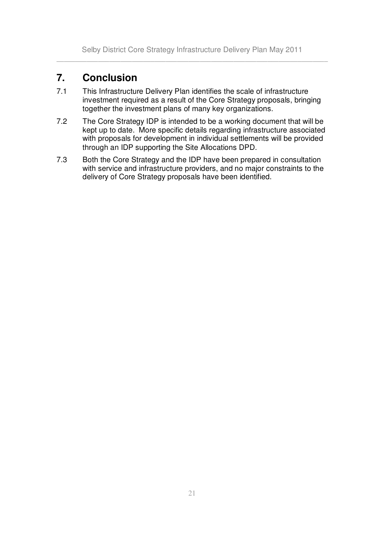# **7. Conclusion**

- 7.1 This Infrastructure Delivery Plan identifies the scale of infrastructure investment required as a result of the Core Strategy proposals, bringing together the investment plans of many key organizations.
- 7.2 The Core Strategy IDP is intended to be a working document that will be kept up to date. More specific details regarding infrastructure associated with proposals for development in individual settlements will be provided through an IDP supporting the Site Allocations DPD.
- 7.3 Both the Core Strategy and the IDP have been prepared in consultation with service and infrastructure providers, and no major constraints to the delivery of Core Strategy proposals have been identified.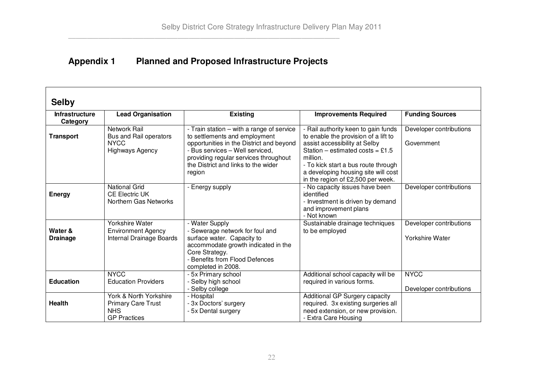# **Appendix 1 Planned and Proposed Infrastructure Projects**

#### **Selby InfrastructureCategory Lead Organisation Existing Improvements Required Funding Sources Transport** Network Rail Bus and Rail operators **NYCC** Highways Agency - Train station – with <sup>a</sup> range of service to settlements and employment opportunities in the District and beyond - Bus services – Well serviced, providing regular services throughout the District and links to the wider region - Rail authority keen to gain funds to enable the provision of <sup>a</sup> lift to assist accessibility at Selby Station – estimated costs <sup>=</sup> £1.5 million.- To kick start <sup>a</sup> bus route through a developing housing site will cost in the region of £2,500 per week. Developer contributions **Government Energy** National GridCE Electric UK Northern Gas Networks - Energy supply - No capacity issues have been identified- Investment is driven by demand and improvement plans - Not knownDeveloper contributions **Water &Drainage** Yorkshire Water Environment Agency Internal Drainage Boards - Water Supply - Sewerage network for foul and surface water. Capacity to accommodate growth indicated in the Core Strategy. - Benefits from Flood Defences completed in 2008. Sustainable drainage techniques to be employed Developer contributions Yorkshire Water **Education**NYCCEducation Providers - 5x Primary school - Selby high school - Selby college Additional school capacity will be required in various forms. **NYCC** Developer contributions **Health**York & North Yorkshire Primary Care Trust NHSGP Practices - Hospital - 3x Doctors' surgery - 5x Dental surgery Additional GP Surgery capacity required. 3x existing surgeries all need extension, or new provision. - Extra Care Housing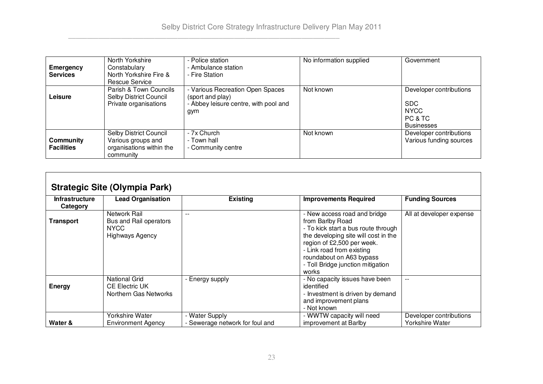| Emergency<br><b>Services</b>   | North Yorkshire<br>Constabulary<br>North Yorkshire Fire &<br>Rescue Service           | - Police station<br>- Ambulance station<br>- Fire Station                                            | No information supplied | Government                                                                           |
|--------------------------------|---------------------------------------------------------------------------------------|------------------------------------------------------------------------------------------------------|-------------------------|--------------------------------------------------------------------------------------|
| Leisure                        | Parish & Town Councils<br>Selby District Council<br>Private organisations             | - Various Recreation Open Spaces<br>(sport and play)<br>- Abbey leisure centre, with pool and<br>gym | Not known               | Developer contributions<br><b>SDC</b><br><b>NYCC</b><br>PC & TC<br><b>Businesses</b> |
| Community<br><b>Facilities</b> | Selby District Council<br>Various groups and<br>organisations within the<br>community | - 7x Church<br>- Town hall<br>- Community centre                                                     | Not known               | Developer contributions<br>Various funding sources                                   |

| <b>Strategic Site (Olympia Park)</b> |                                                                                 |                                                        |                                                                                                                                                                                                                                                                      |                                                   |  |
|--------------------------------------|---------------------------------------------------------------------------------|--------------------------------------------------------|----------------------------------------------------------------------------------------------------------------------------------------------------------------------------------------------------------------------------------------------------------------------|---------------------------------------------------|--|
| <b>Infrastructure</b><br>Category    | <b>Lead Organisation</b>                                                        | <b>Existing</b>                                        | <b>Improvements Required</b>                                                                                                                                                                                                                                         | <b>Funding Sources</b>                            |  |
| <b>Transport</b>                     | Network Rail<br>Bus and Rail operators<br><b>NYCC</b><br><b>Highways Agency</b> | $-$                                                    | - New access road and bridge<br>from Barlby Road<br>- To kick start a bus route through<br>the developing site will cost in the<br>region of £2,500 per week.<br>- Link road from existing<br>roundabout on A63 bypass<br>- Toll Bridge junction mitigation<br>works | All at developer expense                          |  |
| <b>Energy</b>                        | <b>National Grid</b><br><b>CE Electric UK</b><br>Northern Gas Networks          | - Energy supply                                        | - No capacity issues have been<br>identified<br>- Investment is driven by demand<br>and improvement plans<br>- Not known                                                                                                                                             | $- -$                                             |  |
| Water &                              | Yorkshire Water<br>Environment Agency                                           | <b>Water Supply</b><br>- Sewerage network for foul and | - WWTW capacity will need<br>improvement at Barlby                                                                                                                                                                                                                   | Developer contributions<br><b>Yorkshire Water</b> |  |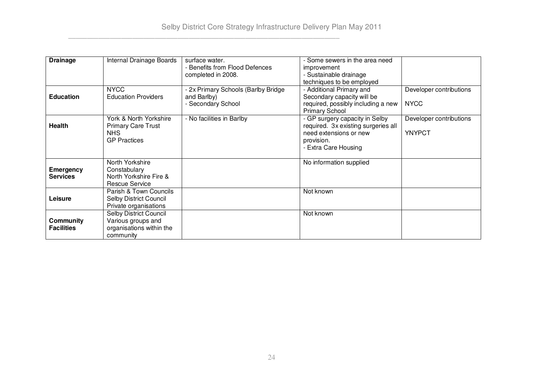| <b>Drainage</b>                       | Internal Drainage Boards                                                              | surface water.<br>- Benefits from Flood Defences<br>completed in 2008.   | - Some sewers in the area need<br>improvement<br>- Sustainable drainage<br>techniques to be employed                                  |                                          |
|---------------------------------------|---------------------------------------------------------------------------------------|--------------------------------------------------------------------------|---------------------------------------------------------------------------------------------------------------------------------------|------------------------------------------|
| <b>Education</b>                      | <b>NYCC</b><br><b>Education Providers</b>                                             | - 2x Primary Schools (Barlby Bridge<br>and Barlby)<br>- Secondary School | - Additional Primary and<br>Secondary capacity will be<br>required, possibly including a new<br><b>Primary School</b>                 | Developer contributions<br><b>NYCC</b>   |
| <b>Health</b>                         | York & North Yorkshire<br><b>Primary Care Trust</b><br>NHS.<br><b>GP Practices</b>    | - No facilities in Barlby                                                | - GP surgery capacity in Selby<br>required. 3x existing surgeries all<br>need extensions or new<br>provision.<br>- Extra Care Housing | Developer contributions<br><b>YNYPCT</b> |
| <b>Emergency</b><br><b>Services</b>   | North Yorkshire<br>Constabulary<br>North Yorkshire Fire &<br><b>Rescue Service</b>    |                                                                          | No information supplied                                                                                                               |                                          |
| Leisure                               | Parish & Town Councils<br>Selby District Council<br>Private organisations             |                                                                          | Not known                                                                                                                             |                                          |
| <b>Community</b><br><b>Facilities</b> | Selby District Council<br>Various groups and<br>organisations within the<br>community |                                                                          | Not known                                                                                                                             |                                          |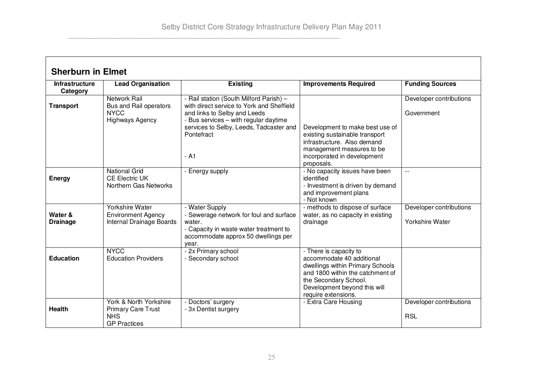$\blacksquare$ 

 $\overline{\phantom{0}}$ 

| <b>Sherburn in Elmet</b>          |                                                                                          |                                                                                                                                                                                                                                  |                                                                                                                                                                                                             |                                            |  |
|-----------------------------------|------------------------------------------------------------------------------------------|----------------------------------------------------------------------------------------------------------------------------------------------------------------------------------------------------------------------------------|-------------------------------------------------------------------------------------------------------------------------------------------------------------------------------------------------------------|--------------------------------------------|--|
| <b>Infrastructure</b><br>Category | <b>Lead Organisation</b>                                                                 | <b>Existing</b>                                                                                                                                                                                                                  | <b>Improvements Required</b>                                                                                                                                                                                | <b>Funding Sources</b>                     |  |
| <b>Transport</b>                  | Network Rail<br>Bus and Rail operators<br><b>NYCC</b><br><b>Highways Agency</b>          | - Rail station (South Milford Parish) -<br>with direct service to York and Sheffield<br>and links to Selby and Leeds<br>- Bus services - with regular daytime<br>services to Selby, Leeds, Tadcaster and<br>Pontefract<br>$- A1$ | Development to make best use of<br>existing sustainable transport<br>infrastructure. Also demand<br>management measures to be<br>incorporated in development<br>proposals.                                  | Developer contributions<br>Government      |  |
| <b>Energy</b>                     | <b>National Grid</b><br><b>CE Electric UK</b><br>Northern Gas Networks                   | - Energy supply                                                                                                                                                                                                                  | - No capacity issues have been<br>identified<br>- Investment is driven by demand<br>and improvement plans<br>- Not known                                                                                    |                                            |  |
| Water &<br><b>Drainage</b>        | Yorkshire Water<br><b>Environment Agency</b><br>Internal Drainage Boards                 | - Water Supply<br>- Sewerage network for foul and surface<br>water.<br>- Capacity in waste water treatment to<br>accommodate approx 50 dwellings per<br>year.                                                                    | - methods to dispose of surface<br>water, as no capacity in existing<br>drainage                                                                                                                            | Developer contributions<br>Yorkshire Water |  |
| <b>Education</b>                  | <b>NYCC</b><br><b>Education Providers</b>                                                | - 2x Primary school<br>- Secondary school                                                                                                                                                                                        | - There is capacity to<br>accommodate 40 additional<br>dwellings within Primary Schools<br>and 1800 within the catchment of<br>the Secondary School.<br>Development beyond this will<br>require extensions. |                                            |  |
| <b>Health</b>                     | York & North Yorkshire<br><b>Primary Care Trust</b><br><b>NHS</b><br><b>GP Practices</b> | - Doctors' surgery<br>- 3x Dentist surgery                                                                                                                                                                                       | - Extra Care Housing                                                                                                                                                                                        | Developer contributions<br><b>RSL</b>      |  |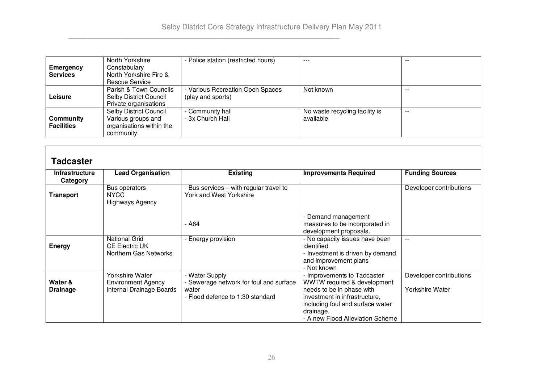|                   | North Yorkshire          | - Police station (restricted hours) | $- - -$                        | --    |
|-------------------|--------------------------|-------------------------------------|--------------------------------|-------|
| Emergency         | Constabulary             |                                     |                                |       |
| <b>Services</b>   | North Yorkshire Fire &   |                                     |                                |       |
|                   | Rescue Service           |                                     |                                |       |
|                   | Parish & Town Councils   | Various Recreation Open Spaces      | Not known                      | --    |
| Leisure           | Selby District Council   | (play and sports)                   |                                |       |
|                   | Private organisations    |                                     |                                |       |
|                   | Selby District Council   | - Community hall                    | No waste recycling facility is | $- -$ |
| Community         | Various groups and       | - 3x Church Hall                    | available                      |       |
| <b>Facilities</b> | organisations within the |                                     |                                |       |
|                   | community                |                                     |                                |       |

| <b>Tadcaster</b>                  |                                                                          |                                                                                                        |                                                                                                                                                                                                               |                                                   |
|-----------------------------------|--------------------------------------------------------------------------|--------------------------------------------------------------------------------------------------------|---------------------------------------------------------------------------------------------------------------------------------------------------------------------------------------------------------------|---------------------------------------------------|
| <b>Infrastructure</b><br>Category | <b>Lead Organisation</b>                                                 | <b>Existing</b>                                                                                        | <b>Improvements Required</b>                                                                                                                                                                                  | <b>Funding Sources</b>                            |
| Transport                         | Bus operators<br>NYCC<br><b>Highways Agency</b>                          | - Bus services – with regular travel to<br>York and West Yorkshire                                     |                                                                                                                                                                                                               | Developer contributions                           |
|                                   |                                                                          | - A64                                                                                                  | - Demand management<br>measures to be incorporated in<br>development proposals.                                                                                                                               |                                                   |
| Energy                            | <b>National Grid</b><br><b>CE Electric UK</b><br>Northern Gas Networks   | - Energy provision                                                                                     | - No capacity issues have been<br>identified<br>- Investment is driven by demand<br>and improvement plans<br>- Not known                                                                                      | $- -$                                             |
| Water &<br><b>Drainage</b>        | Yorkshire Water<br><b>Environment Agency</b><br>Internal Drainage Boards | - Water Supply<br>- Sewerage network for foul and surface<br>water<br>- Flood defence to 1:30 standard | - Improvements to Tadcaster<br>WWTW required & development<br>needs to be in phase with<br>investment in infrastructure,<br>including foul and surface water<br>drainage.<br>- A new Flood Alleviation Scheme | Developer contributions<br><b>Yorkshire Water</b> |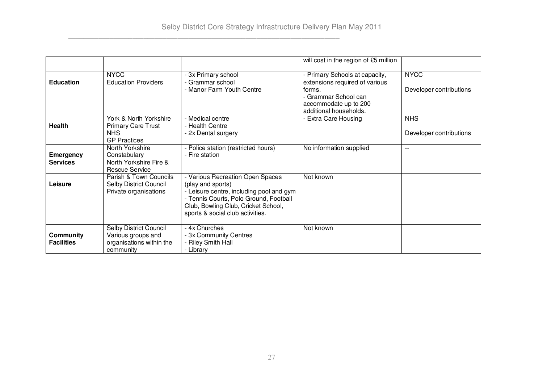|                                       |                                                                                       |                                                                                                                                                                                                                        | will cost in the region of £5 million                                                                                                                 |                                        |
|---------------------------------------|---------------------------------------------------------------------------------------|------------------------------------------------------------------------------------------------------------------------------------------------------------------------------------------------------------------------|-------------------------------------------------------------------------------------------------------------------------------------------------------|----------------------------------------|
| <b>Education</b>                      | <b>NYCC</b><br><b>Education Providers</b>                                             | - 3x Primary school<br>- Grammar school<br>- Manor Farm Youth Centre                                                                                                                                                   | - Primary Schools at capacity,<br>extensions required of various<br>forms.<br>- Grammar School can<br>accommodate up to 200<br>additional households. | <b>NYCC</b><br>Developer contributions |
| <b>Health</b>                         | York & North Yorkshire<br><b>Primary Care Trust</b><br>NHS<br><b>GP Practices</b>     | - Medical centre<br>- Health Centre<br>- 2x Dental surgery                                                                                                                                                             | - Extra Care Housing                                                                                                                                  | <b>NHS</b><br>Developer contributions  |
| <b>Emergency</b><br><b>Services</b>   | North Yorkshire<br>Constabulary<br>North Yorkshire Fire &<br><b>Rescue Service</b>    | - Police station (restricted hours)<br>- Fire station                                                                                                                                                                  | No information supplied                                                                                                                               | $-$                                    |
| Leisure                               | Parish & Town Councils<br><b>Selby District Council</b><br>Private organisations      | - Various Recreation Open Spaces<br>(play and sports)<br>- Leisure centre, including pool and gym<br>- Tennis Courts, Polo Ground, Football<br>Club, Bowling Club, Cricket School,<br>sports & social club activities. | Not known                                                                                                                                             |                                        |
| <b>Community</b><br><b>Facilities</b> | Selby District Council<br>Various groups and<br>organisations within the<br>community | - 4x Churches<br>- 3x Community Centres<br>Riley Smith Hall<br>- Library                                                                                                                                               | Not known                                                                                                                                             |                                        |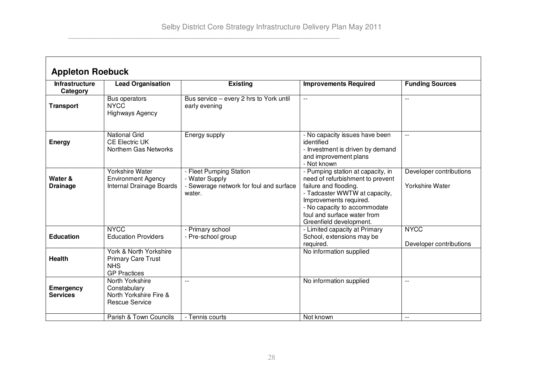$\Gamma$ 

┑

| <b>Appleton Roebuck</b>           |                                                                                    |                                                                                                |                                                                                                                                                                                                                                                     |                                                   |  |
|-----------------------------------|------------------------------------------------------------------------------------|------------------------------------------------------------------------------------------------|-----------------------------------------------------------------------------------------------------------------------------------------------------------------------------------------------------------------------------------------------------|---------------------------------------------------|--|
| <b>Infrastructure</b><br>Category | <b>Lead Organisation</b>                                                           | <b>Existing</b>                                                                                | <b>Improvements Required</b>                                                                                                                                                                                                                        | <b>Funding Sources</b>                            |  |
| <b>Transport</b>                  | Bus operators<br><b>NYCC</b><br><b>Highways Agency</b>                             | Bus service - every 2 hrs to York until<br>early evening                                       | $\overline{a}$                                                                                                                                                                                                                                      | $\overline{a}$                                    |  |
| <b>Energy</b>                     | <b>National Grid</b><br><b>CE Electric UK</b><br>Northern Gas Networks             | Energy supply                                                                                  | - No capacity issues have been<br>identified<br>- Investment is driven by demand<br>and improvement plans<br>- Not known                                                                                                                            | $-$                                               |  |
| Water &<br><b>Drainage</b>        | <b>Yorkshire Water</b><br><b>Environment Agency</b><br>Internal Drainage Boards    | - Fleet Pumping Station<br>- Water Supply<br>- Sewerage network for foul and surface<br>water. | - Pumping station at capacity, in<br>need of refurbishment to prevent<br>failure and flooding.<br>- Tadcaster WWTW at capacity,<br>Improvements required.<br>- No capacity to accommodate<br>foul and surface water from<br>Greenfield development. | Developer contributions<br><b>Yorkshire Water</b> |  |
| <b>Education</b>                  | <b>NYCC</b><br><b>Education Providers</b>                                          | - Primary school<br>- Pre-school group                                                         | - Limited capacity at Primary<br>School, extensions may be<br>required.                                                                                                                                                                             | <b>NYCC</b><br>Developer contributions            |  |
| Health                            | York & North Yorkshire<br>Primary Care Trust<br><b>NHS</b><br><b>GP Practices</b>  |                                                                                                | No information supplied                                                                                                                                                                                                                             |                                                   |  |
| Emergency<br><b>Services</b>      | North Yorkshire<br>Constabulary<br>North Yorkshire Fire &<br><b>Rescue Service</b> | $\overline{a}$                                                                                 | No information supplied                                                                                                                                                                                                                             | $\overline{a}$                                    |  |
|                                   | Parish & Town Councils                                                             | - Tennis courts                                                                                | Not known                                                                                                                                                                                                                                           | $-$                                               |  |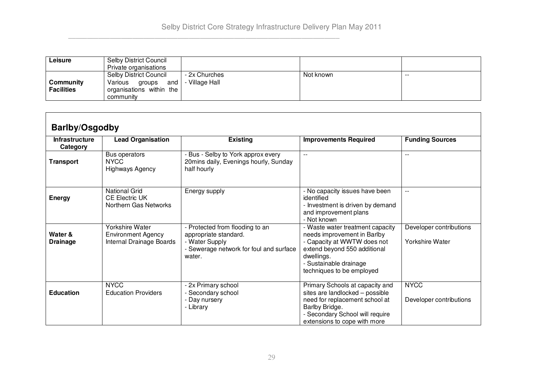| ∟eisure                        | Selby District Council<br>Private organisations                                                    |                                 |           |       |
|--------------------------------|----------------------------------------------------------------------------------------------------|---------------------------------|-----------|-------|
| Community<br><b>Facilities</b> | <b>Selby District Council</b><br>Various<br>and<br>groups<br>organisations within the<br>community | - 2x Churches<br>- Village Hall | Not known | $- -$ |

| <b>Barlby/Osgodby</b>             |                                                                                 |                                                                                                                                 |                                                                                                                                                                                                     |                                                   |  |
|-----------------------------------|---------------------------------------------------------------------------------|---------------------------------------------------------------------------------------------------------------------------------|-----------------------------------------------------------------------------------------------------------------------------------------------------------------------------------------------------|---------------------------------------------------|--|
| <b>Infrastructure</b><br>Category | <b>Lead Organisation</b>                                                        | <b>Existing</b>                                                                                                                 | <b>Improvements Required</b>                                                                                                                                                                        | <b>Funding Sources</b>                            |  |
| Transport                         | Bus operators<br><b>NYCC</b><br><b>Highways Agency</b>                          | - Bus - Selby to York approx every<br>20mins daily, Evenings hourly, Sunday<br>half hourly                                      | $\overline{a}$                                                                                                                                                                                      | $- -$                                             |  |
| <b>Energy</b>                     | <b>National Grid</b><br><b>CE Electric UK</b><br>Northern Gas Networks          | Energy supply                                                                                                                   | - No capacity issues have been<br>identified<br>- Investment is driven by demand<br>and improvement plans<br>- Not known                                                                            | $- -$                                             |  |
| Water &<br><b>Drainage</b>        | <b>Yorkshire Water</b><br><b>Environment Agency</b><br>Internal Drainage Boards | - Protected from flooding to an<br>appropriate standard.<br>- Water Supply<br>- Sewerage network for foul and surface<br>water. | - Waste water treatment capacity<br>needs improvement in Barlby<br>- Capacity at WWTW does not<br>extend beyond 550 additional<br>dwellings.<br>- Sustainable drainage<br>techniques to be employed | Developer contributions<br><b>Yorkshire Water</b> |  |
| <b>Education</b>                  | <b>NYCC</b><br><b>Education Providers</b>                                       | - 2x Primary school<br>- Secondary school<br>- Day nursery<br>- Library                                                         | Primary Schools at capacity and<br>sites are landlocked - possible<br>need for replacement school at<br>Barlby Bridge.<br>- Secondary School will require<br>extensions to cope with more           | <b>NYCC</b><br>Developer contributions            |  |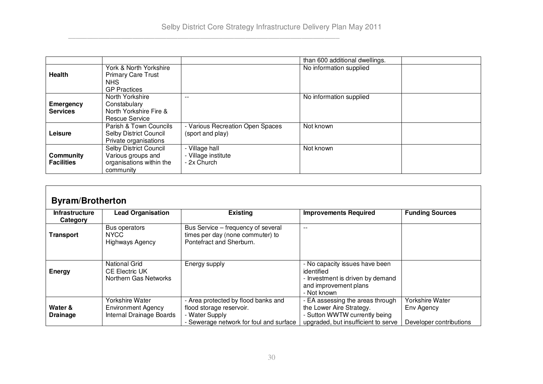|                                     |                                                                                          |                                                    | than 600 additional dwellings. |  |
|-------------------------------------|------------------------------------------------------------------------------------------|----------------------------------------------------|--------------------------------|--|
| Health                              | York & North Yorkshire<br><b>Primary Care Trust</b><br><b>NHS</b><br><b>GP Practices</b> |                                                    | No information supplied        |  |
| <b>Emergency</b><br><b>Services</b> | North Yorkshire<br>Constabulary<br>North Yorkshire Fire &<br><b>Rescue Service</b>       | --                                                 | No information supplied        |  |
| Leisure                             | Parish & Town Councils<br><b>Selby District Council</b><br>Private organisations         | Various Recreation Open Spaces<br>(sport and play) | Not known                      |  |
| Community<br><b>Facilities</b>      | Selby District Council<br>Various groups and<br>organisations within the<br>community    | Village hall<br>- Village institute<br>- 2x Church | Not known                      |  |

| <b>Byram/Brotherton</b>           |                                                                                 |                                                                                                                              |                                                                                                                                    |                                                          |  |
|-----------------------------------|---------------------------------------------------------------------------------|------------------------------------------------------------------------------------------------------------------------------|------------------------------------------------------------------------------------------------------------------------------------|----------------------------------------------------------|--|
| <b>Infrastructure</b><br>Category | <b>Lead Organisation</b>                                                        | <b>Existing</b>                                                                                                              | <b>Improvements Required</b>                                                                                                       | <b>Funding Sources</b>                                   |  |
| Transport                         | Bus operators<br>NYCC.<br><b>Highways Agency</b>                                | Bus Service - frequency of several<br>times per day (none commuter) to<br>Pontefract and Sherburn.                           | $- -$                                                                                                                              |                                                          |  |
| <b>Energy</b>                     | <b>National Grid</b><br><b>CE Electric UK</b><br>Northern Gas Networks          | Energy supply                                                                                                                | - No capacity issues have been<br>identified<br>- Investment is driven by demand<br>and improvement plans<br>- Not known           |                                                          |  |
| Water &<br><b>Drainage</b>        | <b>Yorkshire Water</b><br><b>Environment Agency</b><br>Internal Drainage Boards | - Area protected by flood banks and<br>flood storage reservoir.<br>- Water Supply<br>- Sewerage network for foul and surface | EA assessing the areas through<br>the Lower Aire Strategy.<br>- Sutton WWTW currently being<br>upgraded, but insufficient to serve | Yorkshire Water<br>Env Agency<br>Developer contributions |  |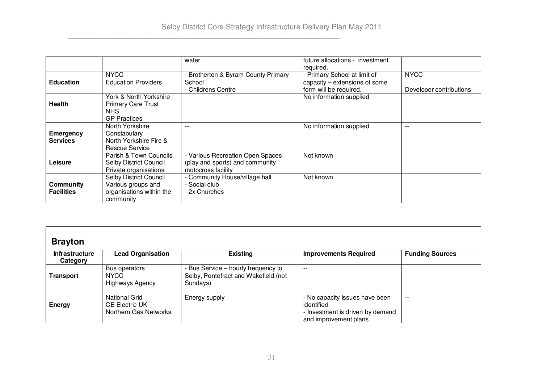|                   |                            | water.                              | future allocations - investment |                         |
|-------------------|----------------------------|-------------------------------------|---------------------------------|-------------------------|
|                   |                            |                                     | required.                       |                         |
|                   | <b>NYCC</b>                | - Brotherton & Byram County Primary | - Primary School at limit of    | <b>NYCC</b>             |
| <b>Education</b>  | <b>Education Providers</b> | School                              | capacity – extensions of some   |                         |
|                   |                            | - Childrens Centre                  | form will be required.          | Developer contributions |
|                   | York & North Yorkshire     |                                     | No information supplied         |                         |
| <b>Health</b>     | <b>Primary Care Trust</b>  |                                     |                                 |                         |
|                   | NHS.                       |                                     |                                 |                         |
|                   | <b>GP Practices</b>        |                                     |                                 |                         |
|                   | North Yorkshire            |                                     | No information supplied         | $- -$                   |
| Emergency         | Constabulary               |                                     |                                 |                         |
| <b>Services</b>   | North Yorkshire Fire &     |                                     |                                 |                         |
|                   | Rescue Service             |                                     |                                 |                         |
|                   | Parish & Town Councils     | - Various Recreation Open Spaces    | Not known                       |                         |
| Leisure           | Selby District Council     | (play and sports) and community     |                                 |                         |
|                   | Private organisations      | motocross facility                  |                                 |                         |
|                   | Selby District Council     | - Community House/village hall      | Not known                       |                         |
| Community         | Various groups and         | - Social club                       |                                 |                         |
| <b>Facilities</b> | organisations within the   | - 2x Churches                       |                                 |                         |
|                   | community                  |                                     |                                 |                         |

| <b>Brayton</b>                    |                                                                        |                                                                                         |                                                                                                           |                        |
|-----------------------------------|------------------------------------------------------------------------|-----------------------------------------------------------------------------------------|-----------------------------------------------------------------------------------------------------------|------------------------|
| <b>Infrastructure</b><br>Category | <b>Lead Organisation</b>                                               | <b>Existing</b>                                                                         | <b>Improvements Required</b>                                                                              | <b>Funding Sources</b> |
| Transport                         | Bus operators<br><b>NYCC</b><br><b>Highways Agency</b>                 | - Bus Service - hourly frequency to<br>Selby, Pontefract and Wakefield (not<br>Sundays) | $- -$                                                                                                     |                        |
| <b>Energy</b>                     | <b>National Grid</b><br><b>CE Electric UK</b><br>Northern Gas Networks | Energy supply                                                                           | - No capacity issues have been<br>identified<br>- Investment is driven by demand<br>and improvement plans | $- -$                  |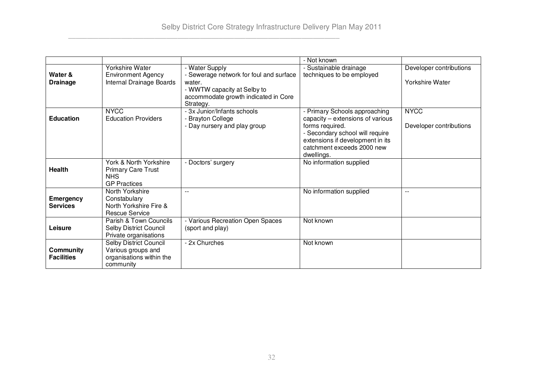|                                       |                                                                                          |                                                                                                                                       | - Not known                                                                                                                                                                                             |                                        |
|---------------------------------------|------------------------------------------------------------------------------------------|---------------------------------------------------------------------------------------------------------------------------------------|---------------------------------------------------------------------------------------------------------------------------------------------------------------------------------------------------------|----------------------------------------|
|                                       | Yorkshire Water                                                                          | - Water Supply                                                                                                                        | - Sustainable drainage                                                                                                                                                                                  | Developer contributions                |
| Water &<br><b>Drainage</b>            | <b>Environment Agency</b><br>Internal Drainage Boards                                    | - Sewerage network for foul and surface<br>water.<br>- WWTW capacity at Selby to<br>accommodate growth indicated in Core<br>Strategy. | techniques to be employed                                                                                                                                                                               | Yorkshire Water                        |
| <b>Education</b>                      | <b>NYCC</b><br><b>Education Providers</b>                                                | - 3x Junior/Infants schools<br>- Brayton College<br>- Day nursery and play group                                                      | - Primary Schools approaching<br>capacity – extensions of various<br>forms required.<br>- Secondary school will require<br>extensions if development in its<br>catchment exceeds 2000 new<br>dwellings. | <b>NYCC</b><br>Developer contributions |
| Health                                | York & North Yorkshire<br><b>Primary Care Trust</b><br><b>NHS</b><br><b>GP Practices</b> | - Doctors' surgery                                                                                                                    | No information supplied                                                                                                                                                                                 |                                        |
| <b>Emergency</b><br><b>Services</b>   | North Yorkshire<br>Constabulary<br>North Yorkshire Fire &<br><b>Rescue Service</b>       | $-$                                                                                                                                   | No information supplied                                                                                                                                                                                 | $ -$                                   |
| Leisure                               | Parish & Town Councils<br><b>Selby District Council</b><br>Private organisations         | - Various Recreation Open Spaces<br>(sport and play)                                                                                  | Not known                                                                                                                                                                                               |                                        |
| <b>Community</b><br><b>Facilities</b> | Selby District Council<br>Various groups and<br>organisations within the<br>community    | - 2x Churches                                                                                                                         | Not known                                                                                                                                                                                               |                                        |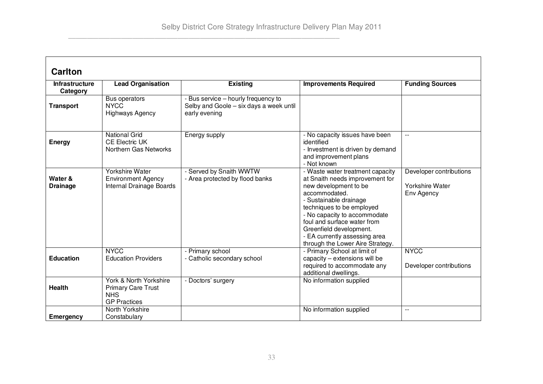| <b>Carlton</b>                    |                                                                                          |                                                                                                 |                                                                                                                                                                                                                                                                                                                                     |                                                                 |
|-----------------------------------|------------------------------------------------------------------------------------------|-------------------------------------------------------------------------------------------------|-------------------------------------------------------------------------------------------------------------------------------------------------------------------------------------------------------------------------------------------------------------------------------------------------------------------------------------|-----------------------------------------------------------------|
| <b>Infrastructure</b><br>Category | <b>Lead Organisation</b>                                                                 | <b>Existing</b>                                                                                 | <b>Improvements Required</b>                                                                                                                                                                                                                                                                                                        | <b>Funding Sources</b>                                          |
| <b>Transport</b>                  | Bus operators<br><b>NYCC</b><br><b>Highways Agency</b>                                   | - Bus service - hourly frequency to<br>Selby and Goole - six days a week until<br>early evening |                                                                                                                                                                                                                                                                                                                                     |                                                                 |
| <b>Energy</b>                     | <b>National Grid</b><br><b>CE Electric UK</b><br>Northern Gas Networks                   | Energy supply                                                                                   | - No capacity issues have been<br>identified<br>- Investment is driven by demand<br>and improvement plans<br>Not known                                                                                                                                                                                                              |                                                                 |
| Water &<br><b>Drainage</b>        | Yorkshire Water<br><b>Environment Agency</b><br>Internal Drainage Boards                 | - Served by Snaith WWTW<br>- Area protected by flood banks                                      | - Waste water treatment capacity<br>at Snaith needs improvement for<br>new development to be<br>accommodated.<br>- Sustainable drainage<br>techniques to be employed<br>- No capacity to accommodate<br>foul and surface water from<br>Greenfield development.<br>- EA currently assessing area<br>through the Lower Aire Strategy. | Developer contributions<br><b>Yorkshire Water</b><br>Env Agency |
| <b>Education</b>                  | <b>NYCC</b><br><b>Education Providers</b>                                                | - Primary school<br>- Catholic secondary school                                                 | - Primary School at limit of<br>capacity - extensions will be<br>required to accommodate any<br>additional dwellings.                                                                                                                                                                                                               | <b>NYCC</b><br>Developer contributions                          |
| <b>Health</b>                     | York & North Yorkshire<br><b>Primary Care Trust</b><br><b>NHS</b><br><b>GP Practices</b> | - Doctors' surgery                                                                              | No information supplied                                                                                                                                                                                                                                                                                                             |                                                                 |
| Emergency                         | North Yorkshire<br>Constabulary                                                          |                                                                                                 | No information supplied                                                                                                                                                                                                                                                                                                             | $-$                                                             |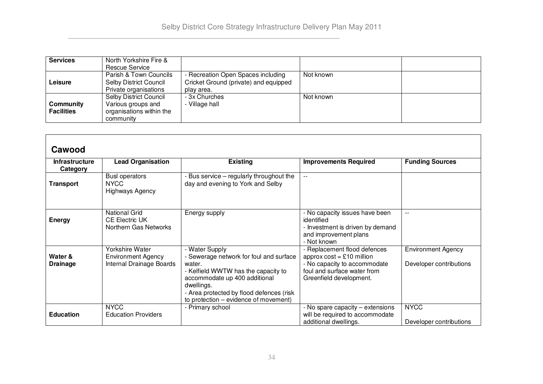| <b>Services</b>   | North Yorkshire Fire &        |                                       |           |  |
|-------------------|-------------------------------|---------------------------------------|-----------|--|
|                   | Rescue Service                |                                       |           |  |
|                   | Parish & Town Councils        | Recreation Open Spaces including      | Not known |  |
| Leisure           | Selby District Council        | Cricket Ground (private) and equipped |           |  |
|                   | Private organisations         | play area.                            |           |  |
|                   | <b>Selby District Council</b> | - 3x Churches                         | Not known |  |
| Community         | Various groups and            | Village hall                          |           |  |
| <b>Facilities</b> | organisations within the      |                                       |           |  |
|                   | community                     |                                       |           |  |

| vuwvvu                            |                                                                                 |                                                                                                                                                                                                                                                |                                                                                                                                                     |                                                      |  |
|-----------------------------------|---------------------------------------------------------------------------------|------------------------------------------------------------------------------------------------------------------------------------------------------------------------------------------------------------------------------------------------|-----------------------------------------------------------------------------------------------------------------------------------------------------|------------------------------------------------------|--|
| <b>Infrastructure</b><br>Category | <b>Lead Organisation</b>                                                        | <b>Existing</b>                                                                                                                                                                                                                                | <b>Improvements Required</b>                                                                                                                        | <b>Funding Sources</b>                               |  |
| Transport                         | <b>Busl operators</b><br><b>NYCC</b><br><b>Highways Agency</b>                  | - Bus service – regularly throughout the<br>day and evening to York and Selby                                                                                                                                                                  | --                                                                                                                                                  |                                                      |  |
| <b>Energy</b>                     | <b>National Grid</b><br><b>CE Electric UK</b><br>Northern Gas Networks          | Energy supply                                                                                                                                                                                                                                  | - No capacity issues have been<br>identified<br>- Investment is driven by demand<br>and improvement plans<br>- Not known                            | $-$                                                  |  |
| Water &<br><b>Drainage</b>        | <b>Yorkshire Water</b><br><b>Environment Agency</b><br>Internal Drainage Boards | - Water Supply<br>- Sewerage network for foul and surface<br>water.<br>- Kelfield WWTW has the capacity to<br>accommodate up 400 additional<br>dwellings.<br>- Area protected by flood defences (risk<br>to protection – evidence of movement) | Replacement flood defences<br>approx $cost = £10$ million<br>- No capacity to accommodate<br>foul and surface water from<br>Greenfield development. | <b>Environment Agency</b><br>Developer contributions |  |
| <b>Education</b>                  | <b>NYCC</b><br><b>Education Providers</b>                                       | - Primary school                                                                                                                                                                                                                               | - No spare capacity - extensions<br>will be required to accommodate<br>additional dwellings.                                                        | <b>NYCC</b><br>Developer contributions               |  |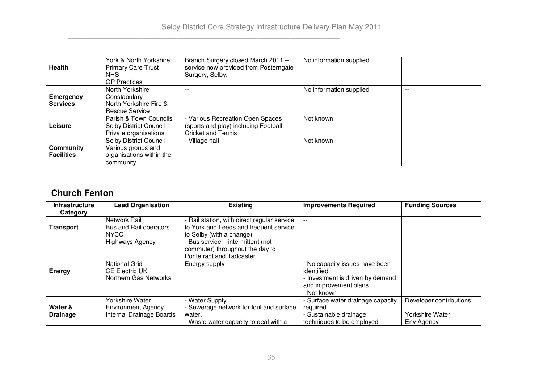| Health                         | York & North Yorkshire<br><b>Primary Care Trust</b><br>NHS.<br><b>GP Practices</b>    | Branch Surgery closed March 2011 -<br>service now provided from Posterngate<br>Surgery, Selby.       | No information supplied |       |
|--------------------------------|---------------------------------------------------------------------------------------|------------------------------------------------------------------------------------------------------|-------------------------|-------|
| Emergency<br><b>Services</b>   | North Yorkshire<br>Constabulary<br>North Yorkshire Fire &<br>Rescue Service           | --                                                                                                   | No information supplied | $- -$ |
| Leisure                        | Parish & Town Councils<br>Selby District Council<br>Private organisations             | Various Recreation Open Spaces<br>(sports and play) including Football,<br><b>Cricket and Tennis</b> | Not known               |       |
| Community<br><b>Facilities</b> | Selby District Council<br>Various groups and<br>organisations within the<br>community | - Village hall                                                                                       | Not known               |       |

| <b>Church Fenton</b>              |                                                                                 |                                                                                                                                                                                                                       |                                                                                                                          |                                                          |  |
|-----------------------------------|---------------------------------------------------------------------------------|-----------------------------------------------------------------------------------------------------------------------------------------------------------------------------------------------------------------------|--------------------------------------------------------------------------------------------------------------------------|----------------------------------------------------------|--|
| <b>Infrastructure</b><br>Category | <b>Lead Organisation</b>                                                        | <b>Existing</b>                                                                                                                                                                                                       | <b>Improvements Required</b>                                                                                             | <b>Funding Sources</b>                                   |  |
| <b>Transport</b>                  | Network Rail<br>Bus and Rail operators<br>NYCC<br><b>Highways Agency</b>        | - Rail station, with direct regular service<br>to York and Leeds and frequent service<br>to Selby (with a change)<br>- Bus service - intermittent (not<br>commuter) throughout the day to<br>Pontefract and Tadcaster | --                                                                                                                       |                                                          |  |
| <b>Energy</b>                     | <b>National Grid</b><br><b>CE Electric UK</b><br>Northern Gas Networks          | Energy supply                                                                                                                                                                                                         | - No capacity issues have been<br>identified<br>- Investment is driven by demand<br>and improvement plans<br>- Not known | $- -$                                                    |  |
| Water &<br><b>Drainage</b>        | <b>Yorkshire Water</b><br><b>Environment Agency</b><br>Internal Drainage Boards | - Water Supply<br>- Sewerage network for foul and surface<br>water.<br>- Waste water capacity to deal with a                                                                                                          | - Surface water drainage capacity<br>required<br>- Sustainable drainage<br>techniques to be employed                     | Developer contributions<br>Yorkshire Water<br>Env Agency |  |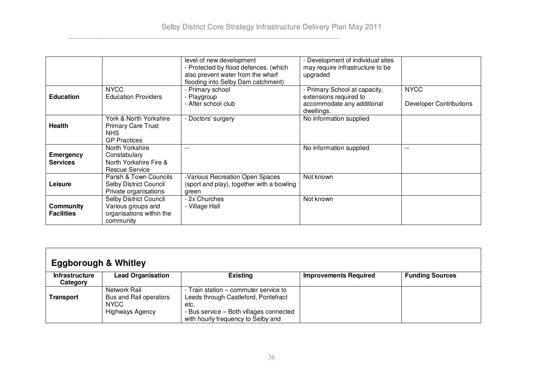|                   |                               | level of new development                  | - Development of individual sites |                                |
|-------------------|-------------------------------|-------------------------------------------|-----------------------------------|--------------------------------|
|                   |                               | - Protected by flood defences. (which     | may require infrastructure to be  |                                |
|                   |                               | also prevent water from the wharf         | upgraded                          |                                |
|                   |                               | flooding into Selby Dam catchment)        |                                   |                                |
|                   | <b>NYCC</b>                   | - Primary school                          | - Primary School at capacity,     | <b>NYCC</b>                    |
| <b>Education</b>  | <b>Education Providers</b>    | - Playgroup                               | extensions required to            |                                |
|                   |                               | - After school club                       | accommodate any additional        | <b>Developer Contributions</b> |
|                   |                               |                                           | dwellings.                        |                                |
|                   | York & North Yorkshire        | - Doctors' surgery                        | No information supplied           |                                |
| <b>Health</b>     | <b>Primary Care Trust</b>     |                                           |                                   |                                |
|                   | NHS.                          |                                           |                                   |                                |
|                   | <b>GP Practices</b>           |                                           |                                   |                                |
|                   | North Yorkshire               | $- -$                                     | No information supplied           | $- -$                          |
| <b>Emergency</b>  | Constabulary                  |                                           |                                   |                                |
| <b>Services</b>   | North Yorkshire Fire &        |                                           |                                   |                                |
|                   | Rescue Service                |                                           |                                   |                                |
|                   | Parish & Town Councils        | -Various Recreation Open Spaces           | Not known                         |                                |
| Leisure           | <b>Selby District Council</b> | (sport and play), together with a bowling |                                   |                                |
|                   | Private organisations         | green                                     |                                   |                                |
|                   | Selby District Council        | - 2x Churches                             | Not known                         |                                |
| Community         | Various groups and            | - Village Hall                            |                                   |                                |
| <b>Facilities</b> | organisations within the      |                                           |                                   |                                |
|                   | community                     |                                           |                                   |                                |

| <b>Eggborough &amp; Whitley</b>   |                                                                                 |                                                                                                                                                                        |                              |                        |
|-----------------------------------|---------------------------------------------------------------------------------|------------------------------------------------------------------------------------------------------------------------------------------------------------------------|------------------------------|------------------------|
| <b>Infrastructure</b><br>Category | <b>Lead Organisation</b>                                                        | <b>Existing</b>                                                                                                                                                        | <b>Improvements Required</b> | <b>Funding Sources</b> |
| Transport                         | Network Rail<br>Bus and Rail operators<br><b>NYCC</b><br><b>Highways Agency</b> | - Train station – commuter service to<br>Leeds through Castleford, Pontefract<br>etc.<br>- Bus service - Both villages connected<br>with hourly frequency to Selby and |                              |                        |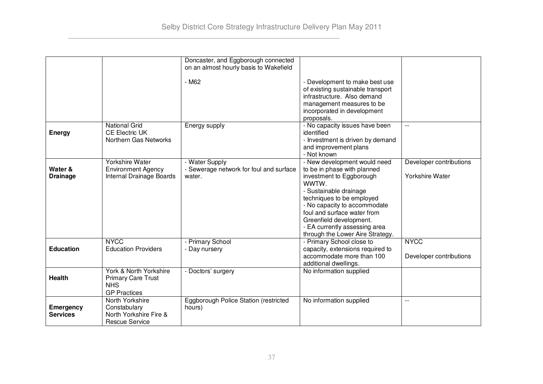|                  |                                         | Doncaster, and Eggborough connected     |                                   |                         |
|------------------|-----------------------------------------|-----------------------------------------|-----------------------------------|-------------------------|
|                  |                                         | on an almost hourly basis to Wakefield  |                                   |                         |
|                  |                                         |                                         |                                   |                         |
|                  |                                         | - M62                                   | - Development to make best use    |                         |
|                  |                                         |                                         | of existing sustainable transport |                         |
|                  |                                         |                                         | infrastructure. Also demand       |                         |
|                  |                                         |                                         | management measures to be         |                         |
|                  |                                         |                                         | incorporated in development       |                         |
|                  |                                         |                                         | proposals.                        |                         |
|                  | <b>National Grid</b>                    | Energy supply                           | - No capacity issues have been    | $-$                     |
| <b>Energy</b>    | <b>CE Electric UK</b>                   |                                         | identified                        |                         |
|                  | Northern Gas Networks                   |                                         | - Investment is driven by demand  |                         |
|                  |                                         |                                         | and improvement plans             |                         |
|                  |                                         |                                         | - Not known                       |                         |
|                  | Yorkshire Water                         | - Water Supply                          | - New development would need      | Developer contributions |
| Water &          | <b>Environment Agency</b>               | - Sewerage network for foul and surface | to be in phase with planned       |                         |
| <b>Drainage</b>  | Internal Drainage Boards                | water.                                  | investment to Eggborough          | <b>Yorkshire Water</b>  |
|                  |                                         |                                         | WWTW.                             |                         |
|                  |                                         |                                         | - Sustainable drainage            |                         |
|                  |                                         |                                         | techniques to be employed         |                         |
|                  |                                         |                                         | - No capacity to accommodate      |                         |
|                  |                                         |                                         | foul and surface water from       |                         |
|                  |                                         |                                         | Greenfield development.           |                         |
|                  |                                         |                                         | - EA currently assessing area     |                         |
|                  |                                         |                                         | through the Lower Aire Strategy.  |                         |
|                  | <b>NYCC</b>                             | - Primary School                        | - Primary School close to         | <b>NYCC</b>             |
| <b>Education</b> | <b>Education Providers</b>              | - Day nursery                           | capacity, extensions required to  |                         |
|                  |                                         |                                         | accommodate more than 100         | Developer contributions |
|                  |                                         |                                         | additional dwellings.             |                         |
|                  | York & North Yorkshire                  | - Doctors' surgery                      | No information supplied           |                         |
| <b>Health</b>    |                                         |                                         |                                   |                         |
|                  | <b>Primary Care Trust</b><br><b>NHS</b> |                                         |                                   |                         |
|                  | <b>GP Practices</b>                     |                                         |                                   |                         |
|                  | North Yorkshire                         |                                         |                                   |                         |
|                  |                                         | Eggborough Police Station (restricted   | No information supplied           | $-$                     |
| <b>Emergency</b> | Constabulary                            | hours)                                  |                                   |                         |
| <b>Services</b>  | North Yorkshire Fire &                  |                                         |                                   |                         |
|                  | <b>Rescue Service</b>                   |                                         |                                   |                         |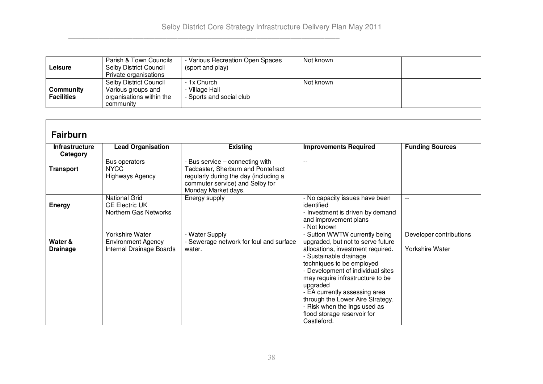| Leisure                        | Parish & Town Councils<br>Selby District Council<br>Private organisations             | Various Recreation Open Spaces<br>(sport and play)        | Not known |  |
|--------------------------------|---------------------------------------------------------------------------------------|-----------------------------------------------------------|-----------|--|
| Community<br><b>Facilities</b> | Selby District Council<br>Various groups and<br>organisations within the<br>community | - 1x Church<br>- Village Hall<br>- Sports and social club | Not known |  |

| <b>Fairburn</b>                   |                                                                                 |                                                                                                                                                                        |                                                                                                                                                                                                                                                                                                                                                                                                        |                                                   |
|-----------------------------------|---------------------------------------------------------------------------------|------------------------------------------------------------------------------------------------------------------------------------------------------------------------|--------------------------------------------------------------------------------------------------------------------------------------------------------------------------------------------------------------------------------------------------------------------------------------------------------------------------------------------------------------------------------------------------------|---------------------------------------------------|
| <b>Infrastructure</b><br>Category | <b>Lead Organisation</b>                                                        | <b>Existing</b>                                                                                                                                                        | <b>Improvements Required</b>                                                                                                                                                                                                                                                                                                                                                                           | <b>Funding Sources</b>                            |
| <b>Transport</b>                  | Bus operators<br><b>NYCC</b><br><b>Highways Agency</b>                          | Bus service – connecting with<br>Tadcaster, Sherburn and Pontefract<br>regularly during the day (including a<br>commuter service) and Selby for<br>Monday Market days. | $\overline{\phantom{a}}$                                                                                                                                                                                                                                                                                                                                                                               |                                                   |
| <b>Energy</b>                     | <b>National Grid</b><br><b>CE Electric UK</b><br>Northern Gas Networks          | Energy supply                                                                                                                                                          | - No capacity issues have been<br>identified<br>- Investment is driven by demand<br>and improvement plans<br>- Not known                                                                                                                                                                                                                                                                               | $\overline{\phantom{a}}$                          |
| Water &<br><b>Drainage</b>        | <b>Yorkshire Water</b><br><b>Environment Agency</b><br>Internal Drainage Boards | - Water Supply<br>- Sewerage network for foul and surface<br>water.                                                                                                    | - Sutton WWTW currently being<br>upgraded, but not to serve future<br>allocations, investment required.<br>- Sustainable drainage<br>techniques to be employed<br>- Development of individual sites<br>may require infrastructure to be<br>upgraded<br>- EA currently assessing area<br>through the Lower Aire Strategy.<br>- Risk when the Ings used as<br>flood storage reservoir for<br>Castleford. | Developer contributions<br><b>Yorkshire Water</b> |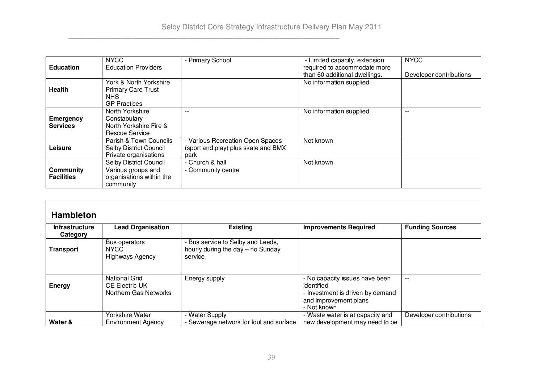|                   | <b>NYCC</b>                | - Primary School                    | - Limited capacity, extension | <b>NYCC</b>             |
|-------------------|----------------------------|-------------------------------------|-------------------------------|-------------------------|
| <b>Education</b>  | <b>Education Providers</b> |                                     | required to accommodate more  |                         |
|                   |                            |                                     | than 60 additional dwellings. | Developer contributions |
|                   | York & North Yorkshire     |                                     | No information supplied       |                         |
| Health            | <b>Primary Care Trust</b>  |                                     |                               |                         |
|                   | NHS.                       |                                     |                               |                         |
|                   | <b>GP Practices</b>        |                                     |                               |                         |
|                   | North Yorkshire            |                                     | No information supplied       | $- -$                   |
| <b>Emergency</b>  | Constabulary               |                                     |                               |                         |
| <b>Services</b>   | North Yorkshire Fire &     |                                     |                               |                         |
|                   | Rescue Service             |                                     |                               |                         |
|                   | Parish & Town Councils     | - Various Recreation Open Spaces    | Not known                     |                         |
| Leisure           | Selby District Council     | (sport and play) plus skate and BMX |                               |                         |
|                   | Private organisations      | park                                |                               |                         |
|                   | Selby District Council     | - Church & hall                     | Not known                     |                         |
| Community         | Various groups and         | - Community centre                  |                               |                         |
| <b>Facilities</b> | organisations within the   |                                     |                               |                         |
|                   | community                  |                                     |                               |                         |

| <b>Hambleton</b> |  |
|------------------|--|
|                  |  |

| <b>Infrastructure</b><br>Category | <b>Lead Organisation</b>                                        | <b>Existing</b>                                                                   | <b>Improvements Required</b>                                                                                             | <b>Funding Sources</b>  |
|-----------------------------------|-----------------------------------------------------------------|-----------------------------------------------------------------------------------|--------------------------------------------------------------------------------------------------------------------------|-------------------------|
| <b>Transport</b>                  | Bus operators<br>NYCC<br>Highways Agency                        | - Bus service to Selby and Leeds,<br>hourly during the day – no Sunday<br>service |                                                                                                                          |                         |
| Energy                            | National Grid<br><b>CE Electric UK</b><br>Northern Gas Networks | Energy supply                                                                     | - No capacity issues have been<br>identified<br>- Investment is driven by demand<br>and improvement plans<br>- Not known | --                      |
| Water &                           | Yorkshire Water<br><b>Environment Agency</b>                    | - Water Supply<br>- Sewerage network for foul and surface                         | - Waste water is at capacity and<br>new development may need to be                                                       | Developer contributions |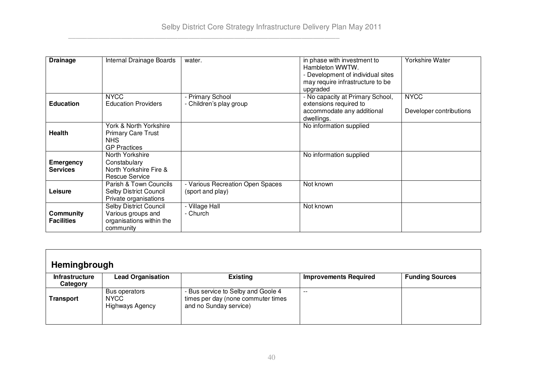| <b>Drainage</b>                     | Internal Drainage Boards                                                              | water.                                               | in phase with investment to<br>Hambleton WWTW.<br>- Development of individual sites<br>may require infrastructure to be<br>upgraded | <b>Yorkshire Water</b>                 |
|-------------------------------------|---------------------------------------------------------------------------------------|------------------------------------------------------|-------------------------------------------------------------------------------------------------------------------------------------|----------------------------------------|
| <b>Education</b>                    | <b>NYCC</b><br><b>Education Providers</b>                                             | - Primary School<br>- Children's play group          | - No capacity at Primary School,<br>extensions required to<br>accommodate any additional<br>dwellings.                              | <b>NYCC</b><br>Developer contributions |
| <b>Health</b>                       | York & North Yorkshire<br><b>Primary Care Trust</b><br>NHS.<br><b>GP Practices</b>    |                                                      | No information supplied                                                                                                             |                                        |
| <b>Emergency</b><br><b>Services</b> | North Yorkshire<br>Constabulary<br>North Yorkshire Fire &<br><b>Rescue Service</b>    |                                                      | No information supplied                                                                                                             |                                        |
| Leisure                             | Parish & Town Councils<br><b>Selby District Council</b><br>Private organisations      | - Various Recreation Open Spaces<br>(sport and play) | Not known                                                                                                                           |                                        |
| Community<br><b>Facilities</b>      | Selby District Council<br>Various groups and<br>organisations within the<br>community | Village Hall<br>- Church                             | Not known                                                                                                                           |                                        |

| Hemingbrough                      |                                                        |                                                                                                    |                              |                        |
|-----------------------------------|--------------------------------------------------------|----------------------------------------------------------------------------------------------------|------------------------------|------------------------|
| <b>Infrastructure</b><br>Category | <b>Lead Organisation</b>                               | <b>Existing</b>                                                                                    | <b>Improvements Required</b> | <b>Funding Sources</b> |
| Transport                         | Bus operators<br><b>NYCC</b><br><b>Highways Agency</b> | - Bus service to Selby and Goole 4<br>times per day (none commuter times<br>and no Sunday service) | $- -$                        |                        |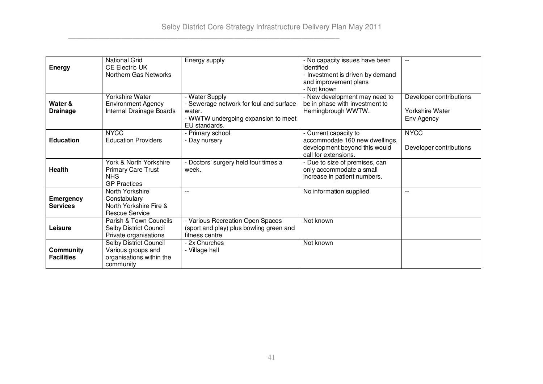| <b>Energy</b>                         | <b>National Grid</b><br><b>CE Electric UK</b><br>Northern Gas Networks                   | Energy supply                                                                                                               | - No capacity issues have been<br>identified<br>- Investment is driven by demand                                 | $-$                                                             |
|---------------------------------------|------------------------------------------------------------------------------------------|-----------------------------------------------------------------------------------------------------------------------------|------------------------------------------------------------------------------------------------------------------|-----------------------------------------------------------------|
|                                       |                                                                                          |                                                                                                                             | and improvement plans<br>- Not known                                                                             |                                                                 |
| Water &<br><b>Drainage</b>            | Yorkshire Water<br><b>Environment Agency</b><br>Internal Drainage Boards                 | - Water Supply<br>- Sewerage network for foul and surface<br>water.<br>- WWTW undergoing expansion to meet<br>EU standards. | - New development may need to<br>be in phase with investment to<br>Hemingbrough WWTW.                            | Developer contributions<br><b>Yorkshire Water</b><br>Env Agency |
| <b>Education</b>                      | <b>NYCC</b><br><b>Education Providers</b>                                                | - Primary school<br>- Day nursery                                                                                           | - Current capacity to<br>accommodate 160 new dwellings,<br>development beyond this would<br>call for extensions. | <b>NYCC</b><br>Developer contributions                          |
| Health                                | York & North Yorkshire<br><b>Primary Care Trust</b><br><b>NHS</b><br><b>GP Practices</b> | - Doctors' surgery held four times a<br>week.                                                                               | - Due to size of premises, can<br>only accommodate a small<br>increase in patient numbers.                       |                                                                 |
| <b>Emergency</b><br><b>Services</b>   | North Yorkshire<br>Constabulary<br>North Yorkshire Fire &<br><b>Rescue Service</b>       |                                                                                                                             | No information supplied                                                                                          |                                                                 |
| Leisure                               | Parish & Town Councils<br>Selby District Council<br>Private organisations                | - Various Recreation Open Spaces<br>(sport and play) plus bowling green and<br>fitness centre                               | Not known                                                                                                        |                                                                 |
| <b>Community</b><br><b>Facilities</b> | Selby District Council<br>Various groups and<br>organisations within the<br>community    | - 2x Churches<br>- Village hall                                                                                             | Not known                                                                                                        |                                                                 |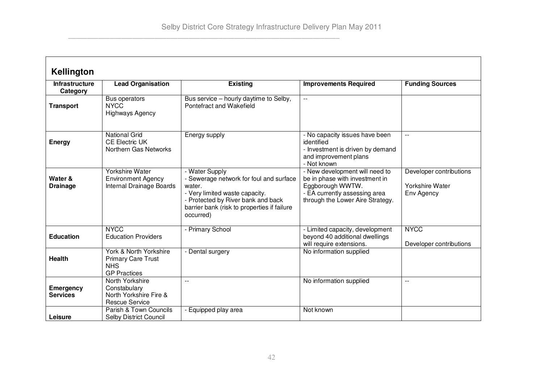| Kellington                        |                                                                                          |                                                                                                                                                                                                         |                                                                                                                                                           |                                                                 |
|-----------------------------------|------------------------------------------------------------------------------------------|---------------------------------------------------------------------------------------------------------------------------------------------------------------------------------------------------------|-----------------------------------------------------------------------------------------------------------------------------------------------------------|-----------------------------------------------------------------|
| <b>Infrastructure</b><br>Category | <b>Lead Organisation</b>                                                                 | <b>Existing</b>                                                                                                                                                                                         | <b>Improvements Required</b>                                                                                                                              | <b>Funding Sources</b>                                          |
| <b>Transport</b>                  | Bus operators<br><b>NYCC</b><br><b>Highways Agency</b>                                   | Bus service – hourly daytime to Selby,<br>Pontefract and Wakefield                                                                                                                                      | $-$                                                                                                                                                       |                                                                 |
| <b>Energy</b>                     | <b>National Grid</b><br><b>CE Electric UK</b><br>Northern Gas Networks                   | Energy supply                                                                                                                                                                                           | - No capacity issues have been<br>identified<br>- Investment is driven by demand<br>and improvement plans<br>- Not known                                  |                                                                 |
| Water &<br><b>Drainage</b>        | Yorkshire Water<br><b>Environment Agency</b><br>Internal Drainage Boards                 | - Water Supply<br>- Sewerage network for foul and surface<br>water.<br>- Very limited waste capacity.<br>- Protected by River bank and back<br>barrier bank (risk to properties if failure<br>occurred) | - New development will need to<br>be in phase with investment in<br>Eggborough WWTW.<br>- EA currently assessing area<br>through the Lower Aire Strategy. | Developer contributions<br><b>Yorkshire Water</b><br>Env Agency |
| <b>Education</b>                  | <b>NYCC</b><br><b>Education Providers</b>                                                | - Primary School                                                                                                                                                                                        | - Limited capacity, development<br>beyond 40 additional dwellings<br>will require extensions.                                                             | <b>NYCC</b><br>Developer contributions                          |
| <b>Health</b>                     | York & North Yorkshire<br><b>Primary Care Trust</b><br><b>NHS</b><br><b>GP Practices</b> | - Dental surgery                                                                                                                                                                                        | No information supplied                                                                                                                                   |                                                                 |
| Emergency<br><b>Services</b>      | North Yorkshire<br>Constabulary<br>North Yorkshire Fire &<br><b>Rescue Service</b>       | $\overline{a}$                                                                                                                                                                                          | No information supplied                                                                                                                                   | $-$                                                             |
| Leisure                           | Parish & Town Councils<br><b>Selby District Council</b>                                  | - Equipped play area                                                                                                                                                                                    | Not known                                                                                                                                                 |                                                                 |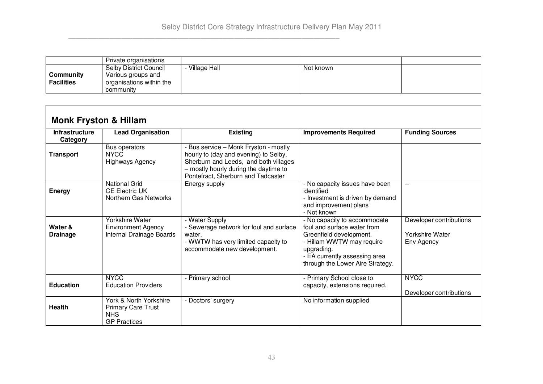|                                | Private organisations                                                                        |              |           |  |
|--------------------------------|----------------------------------------------------------------------------------------------|--------------|-----------|--|
| Community<br><b>Facilities</b> | <b>Selby District Council</b><br>Various groups and<br>organisations within the<br>community | Village Hall | Not known |  |

| <b>Monk Fryston &amp; Hillam</b>  |                                                                                          |                                                                                                                                                                                                        |                                                                                                                                                                                                        |                                                          |
|-----------------------------------|------------------------------------------------------------------------------------------|--------------------------------------------------------------------------------------------------------------------------------------------------------------------------------------------------------|--------------------------------------------------------------------------------------------------------------------------------------------------------------------------------------------------------|----------------------------------------------------------|
| <b>Infrastructure</b><br>Category | <b>Lead Organisation</b>                                                                 | <b>Existing</b>                                                                                                                                                                                        | <b>Improvements Required</b>                                                                                                                                                                           | <b>Funding Sources</b>                                   |
| <b>Transport</b>                  | Bus operators<br><b>NYCC</b><br><b>Highways Agency</b>                                   | - Bus service - Monk Fryston - mostly<br>hourly to (day and evening) to Selby,<br>Sherburn and Leeds, and both villages<br>- mostly hourly during the daytime to<br>Pontefract, Sherburn and Tadcaster |                                                                                                                                                                                                        |                                                          |
| <b>Energy</b>                     | <b>National Grid</b><br><b>CE Electric UK</b><br>Northern Gas Networks                   | Energy supply                                                                                                                                                                                          | - No capacity issues have been<br>identified<br>- Investment is driven by demand<br>and improvement plans<br>- Not known                                                                               | $-$                                                      |
| Water &<br><b>Drainage</b>        | Yorkshire Water<br><b>Environment Agency</b><br>Internal Drainage Boards                 | - Water Supply<br>- Sewerage network for foul and surface<br>water.<br>- WWTW has very limited capacity to<br>accommodate new development.                                                             | - No capacity to accommodate<br>foul and surface water from<br>Greenfield development.<br>- Hillam WWTW may require<br>upgrading.<br>- EA currently assessing area<br>through the Lower Aire Strategy. | Developer contributions<br>Yorkshire Water<br>Env Agency |
| <b>Education</b>                  | <b>NYCC</b><br><b>Education Providers</b>                                                | - Primary school                                                                                                                                                                                       | - Primary School close to<br>capacity, extensions required.                                                                                                                                            | <b>NYCC</b><br>Developer contributions                   |
| <b>Health</b>                     | York & North Yorkshire<br><b>Primary Care Trust</b><br><b>NHS</b><br><b>GP Practices</b> | - Doctors' surgery                                                                                                                                                                                     | No information supplied                                                                                                                                                                                |                                                          |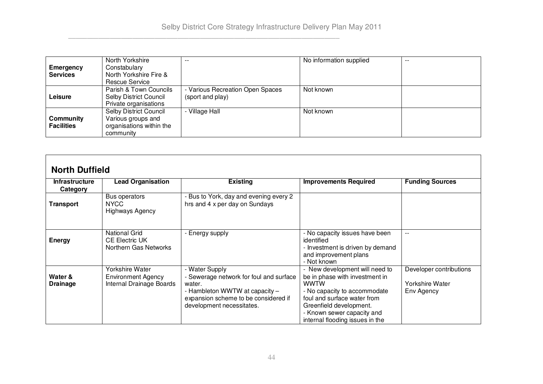|                   | North Yorkshire          | $ -$                             | No information supplied | $- -$ |
|-------------------|--------------------------|----------------------------------|-------------------------|-------|
| Emergency         | Constabulary             |                                  |                         |       |
| <b>Services</b>   | North Yorkshire Fire &   |                                  |                         |       |
|                   | Rescue Service           |                                  |                         |       |
|                   | Parish & Town Councils   | - Various Recreation Open Spaces | Not known               |       |
| Leisure           | Selby District Council   | (sport and play)                 |                         |       |
|                   | Private organisations    |                                  |                         |       |
|                   | Selby District Council   | - Village Hall                   | Not known               |       |
| Community         | Various groups and       |                                  |                         |       |
| <b>Facilities</b> | organisations within the |                                  |                         |       |
|                   | community                |                                  |                         |       |

# **North Duffield**

| <b>Infrastructure</b>      | <b>Lead Organisation</b>                                               | <b>Existing</b>                                                                                                                                                            | <b>Improvements Required</b>                                                                                                                                                                                                        | <b>Funding Sources</b>                                   |
|----------------------------|------------------------------------------------------------------------|----------------------------------------------------------------------------------------------------------------------------------------------------------------------------|-------------------------------------------------------------------------------------------------------------------------------------------------------------------------------------------------------------------------------------|----------------------------------------------------------|
|                            |                                                                        |                                                                                                                                                                            |                                                                                                                                                                                                                                     |                                                          |
| Category                   |                                                                        |                                                                                                                                                                            |                                                                                                                                                                                                                                     |                                                          |
| Transport                  | Bus operators<br>NYCC<br><b>Highways Agency</b>                        | - Bus to York, day and evening every 2<br>hrs and 4 x per day on Sundays                                                                                                   |                                                                                                                                                                                                                                     |                                                          |
| <b>Energy</b>              | <b>National Grid</b><br><b>CE Electric UK</b><br>Northern Gas Networks | - Energy supply                                                                                                                                                            | - No capacity issues have been<br>identified<br>- Investment is driven by demand<br>and improvement plans<br>- Not known                                                                                                            |                                                          |
| Water &<br><b>Drainage</b> | Yorkshire Water<br>Environment Agency<br>Internal Drainage Boards      | - Water Supply<br>- Sewerage network for foul and surface<br>water.<br>- Hambleton WWTW at capacity -<br>expansion scheme to be considered if<br>development necessitates. | - New development will need to<br>be in phase with investment in<br>wwtw<br>- No capacity to accommodate<br>foul and surface water from<br>Greenfield development.<br>- Known sewer capacity and<br>internal flooding issues in the | Developer contributions<br>Yorkshire Water<br>Env Agency |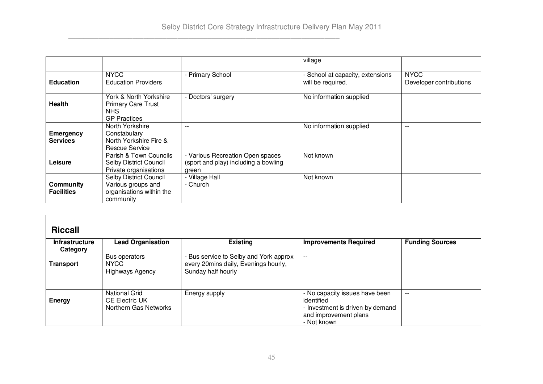|                                     |                                                                                       |                                                                                   | village                                               |                                        |
|-------------------------------------|---------------------------------------------------------------------------------------|-----------------------------------------------------------------------------------|-------------------------------------------------------|----------------------------------------|
| <b>Education</b>                    | <b>NYCC</b><br><b>Education Providers</b>                                             | - Primary School                                                                  | - School at capacity, extensions<br>will be required. | <b>NYCC</b><br>Developer contributions |
| <b>Health</b>                       | York & North Yorkshire<br><b>Primary Care Trust</b><br>NHS.<br><b>GP Practices</b>    | - Doctors' surgery                                                                | No information supplied                               |                                        |
| <b>Emergency</b><br><b>Services</b> | North Yorkshire<br>Constabulary<br>North Yorkshire Fire &<br>Rescue Service           |                                                                                   | No information supplied                               | $- -$                                  |
| Leisure                             | Parish & Town Councils<br>Selby District Council<br>Private organisations             | - Various Recreation Open spaces<br>(sport and play) including a bowling<br>green | Not known                                             |                                        |
| Community<br><b>Facilities</b>      | Selby District Council<br>Various groups and<br>organisations within the<br>community | - Village Hall<br>- Church                                                        | Not known                                             |                                        |

| <b>Riccall</b>                           |                                                                        |                                                                                                      |                                                                                                                          |                        |
|------------------------------------------|------------------------------------------------------------------------|------------------------------------------------------------------------------------------------------|--------------------------------------------------------------------------------------------------------------------------|------------------------|
| <b>Infrastructure</b><br><b>Category</b> | <b>Lead Organisation</b>                                               | <b>Existing</b>                                                                                      | <b>Improvements Required</b>                                                                                             | <b>Funding Sources</b> |
| Transport                                | Bus operators<br><b>NYCC</b><br><b>Highways Agency</b>                 | - Bus service to Selby and York approx<br>every 20mins daily, Evenings hourly,<br>Sunday half hourly | $- -$                                                                                                                    |                        |
| <b>Energy</b>                            | <b>National Grid</b><br><b>CE Electric UK</b><br>Northern Gas Networks | Energy supply                                                                                        | - No capacity issues have been<br>identified<br>- Investment is driven by demand<br>and improvement plans<br>- Not known | $-$                    |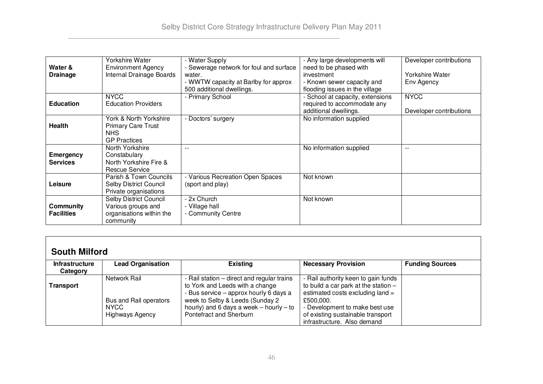|                   | Yorkshire Water               | - Water Supply                          | - Any large developments will    | Developer contributions |
|-------------------|-------------------------------|-----------------------------------------|----------------------------------|-------------------------|
| Water &           | <b>Environment Agency</b>     | - Sewerage network for foul and surface | need to be phased with           |                         |
| <b>Drainage</b>   | Internal Drainage Boards      | water.                                  | investment                       | Yorkshire Water         |
|                   |                               | - WWTW capacity at Barlby for approx    | - Known sewer capacity and       | Env Agency              |
|                   |                               | 500 additional dwellings.               | flooding issues in the village   |                         |
|                   | <b>NYCC</b>                   | - Primary School                        | - School at capacity, extensions | <b>NYCC</b>             |
| <b>Education</b>  | <b>Education Providers</b>    |                                         | required to accommodate any      |                         |
|                   |                               |                                         | additional dwellings.            | Developer contributions |
|                   | York & North Yorkshire        | - Doctors' surgery                      | No information supplied          |                         |
| <b>Health</b>     | Primary Care Trust            |                                         |                                  |                         |
|                   | <b>NHS</b>                    |                                         |                                  |                         |
|                   | <b>GP Practices</b>           |                                         |                                  |                         |
|                   | North Yorkshire               |                                         | No information supplied          |                         |
| <b>Emergency</b>  | Constabulary                  |                                         |                                  |                         |
| <b>Services</b>   | North Yorkshire Fire &        |                                         |                                  |                         |
|                   | Rescue Service                |                                         |                                  |                         |
|                   | Parish & Town Councils        | - Various Recreation Open Spaces        | Not known                        |                         |
| Leisure           | <b>Selby District Council</b> | (sport and play)                        |                                  |                         |
|                   | Private organisations         |                                         |                                  |                         |
|                   | <b>Selby District Council</b> | - 2x Church                             | Not known                        |                         |
| Community         | Various groups and            | - Village hall                          |                                  |                         |
| <b>Facilities</b> | organisations within the      | - Community Centre                      |                                  |                         |
|                   | community                     |                                         |                                  |                         |

| <b>South Milford</b>  |                          |                                             |                                        |                        |
|-----------------------|--------------------------|---------------------------------------------|----------------------------------------|------------------------|
| <b>Infrastructure</b> | <b>Lead Organisation</b> | <b>Existing</b>                             | <b>Necessary Provision</b>             | <b>Funding Sources</b> |
| Category              |                          |                                             |                                        |                        |
|                       | Network Rail             | - Rail station – direct and regular trains  | - Rail authority keen to gain funds    |                        |
| Transport             |                          | to York and Leeds with a change             | to build a car park at the station $-$ |                        |
|                       |                          | - Bus service - approx hourly 6 days a      | estimated costs excluding land =       |                        |
|                       | Bus and Rail operators   | week to Selby & Leeds (Sunday 2             | £500.000.                              |                        |
|                       | <b>NYCC</b>              | hourly) and 6 days a week $-$ hourly $-$ to | - Development to make best use         |                        |
|                       | <b>Highways Agency</b>   | Pontefract and Sherburn                     | of existing sustainable transport      |                        |
|                       |                          |                                             | infrastructure. Also demand            |                        |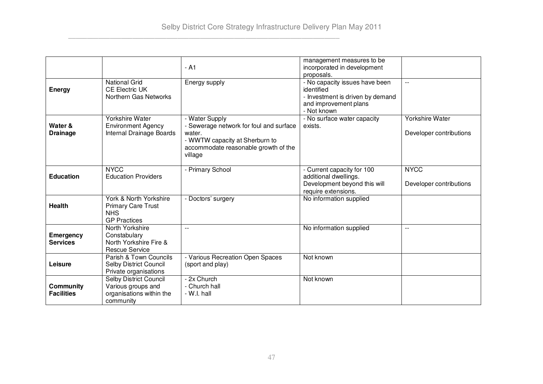|                   |                               |                                         | management measures to be        |                          |
|-------------------|-------------------------------|-----------------------------------------|----------------------------------|--------------------------|
|                   |                               | - A1                                    | incorporated in development      |                          |
|                   |                               |                                         | proposals.                       |                          |
|                   | <b>National Grid</b>          | Energy supply                           | - No capacity issues have been   | $-$                      |
| <b>Energy</b>     | <b>CE Electric UK</b>         |                                         | identified                       |                          |
|                   | Northern Gas Networks         |                                         | - Investment is driven by demand |                          |
|                   |                               |                                         | and improvement plans            |                          |
|                   |                               |                                         | - Not known                      |                          |
|                   | Yorkshire Water               | - Water Supply                          | - No surface water capacity      | <b>Yorkshire Water</b>   |
| Water &           | <b>Environment Agency</b>     | - Sewerage network for foul and surface | exists.                          |                          |
| <b>Drainage</b>   | Internal Drainage Boards      | water.                                  |                                  | Developer contributions  |
|                   |                               | - WWTW capacity at Sherburn to          |                                  |                          |
|                   |                               | accommodate reasonable growth of the    |                                  |                          |
|                   |                               | village                                 |                                  |                          |
|                   |                               |                                         |                                  |                          |
|                   | <b>NYCC</b>                   | - Primary School                        | - Current capacity for 100       | <b>NYCC</b>              |
| <b>Education</b>  | <b>Education Providers</b>    |                                         | additional dwellings.            |                          |
|                   |                               |                                         | Development beyond this will     | Developer contributions  |
|                   |                               |                                         | require extensions.              |                          |
|                   | York & North Yorkshire        | - Doctors' surgery                      | No information supplied          |                          |
| <b>Health</b>     | <b>Primary Care Trust</b>     |                                         |                                  |                          |
|                   | <b>NHS</b>                    |                                         |                                  |                          |
|                   | <b>GP Practices</b>           |                                         |                                  |                          |
|                   | North Yorkshire               |                                         | No information supplied          | $\overline{\phantom{a}}$ |
| <b>Emergency</b>  | Constabulary                  |                                         |                                  |                          |
| <b>Services</b>   | North Yorkshire Fire &        |                                         |                                  |                          |
|                   | <b>Rescue Service</b>         |                                         |                                  |                          |
|                   | Parish & Town Councils        | - Various Recreation Open Spaces        | Not known                        |                          |
| Leisure           | <b>Selby District Council</b> | (sport and play)                        |                                  |                          |
|                   | Private organisations         |                                         |                                  |                          |
|                   | Selby District Council        | - 2x Church                             | Not known                        |                          |
| Community         | Various groups and            | - Church hall                           |                                  |                          |
| <b>Facilities</b> | organisations within the      | - W.I. hall                             |                                  |                          |
|                   | community                     |                                         |                                  |                          |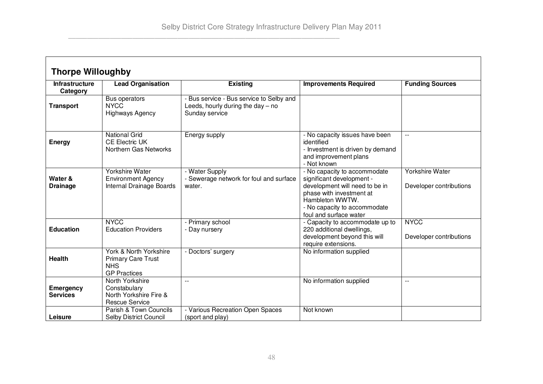$\mathsf{r}$ 

| <b>Thorpe Willoughby</b>          |                                                                                          |                                                                                                   |                                                                                                                                                                                                      |                                            |
|-----------------------------------|------------------------------------------------------------------------------------------|---------------------------------------------------------------------------------------------------|------------------------------------------------------------------------------------------------------------------------------------------------------------------------------------------------------|--------------------------------------------|
| <b>Infrastructure</b><br>Category | <b>Lead Organisation</b>                                                                 | <b>Existing</b>                                                                                   | <b>Improvements Required</b>                                                                                                                                                                         | <b>Funding Sources</b>                     |
| <b>Transport</b>                  | Bus operators<br><b>NYCC</b><br><b>Highways Agency</b>                                   | - Bus service - Bus service to Selby and<br>Leeds, hourly during the day $-$ no<br>Sunday service |                                                                                                                                                                                                      |                                            |
| <b>Energy</b>                     | <b>National Grid</b><br><b>CE Electric UK</b><br>Northern Gas Networks                   | Energy supply                                                                                     | - No capacity issues have been<br>identified<br>- Investment is driven by demand<br>and improvement plans<br>- Not known                                                                             | $-$                                        |
| Water &<br><b>Drainage</b>        | Yorkshire Water<br><b>Environment Agency</b><br>Internal Drainage Boards                 | - Water Supply<br>- Sewerage network for foul and surface<br>water.                               | - No capacity to accommodate<br>significant development -<br>development will need to be in<br>phase with investment at<br>Hambleton WWTW.<br>- No capacity to accommodate<br>foul and surface water | Yorkshire Water<br>Developer contributions |
| <b>Education</b>                  | <b>NYCC</b><br><b>Education Providers</b>                                                | - Primary school<br>- Day nursery                                                                 | - Capacity to accommodate up to<br>220 additional dwellings,<br>development beyond this will<br>require extensions.                                                                                  | <b>NYCC</b><br>Developer contributions     |
| <b>Health</b>                     | York & North Yorkshire<br><b>Primary Care Trust</b><br><b>NHS</b><br><b>GP Practices</b> | - Doctors' surgery                                                                                | No information supplied                                                                                                                                                                              |                                            |
| Emergency<br><b>Services</b>      | North Yorkshire<br>Constabulary<br>North Yorkshire Fire &<br><b>Rescue Service</b>       | $-$                                                                                               | No information supplied                                                                                                                                                                              | $-$                                        |
| Leisure                           | Parish & Town Councils<br>Selby District Council                                         | - Various Recreation Open Spaces<br>(sport and play)                                              | Not known                                                                                                                                                                                            |                                            |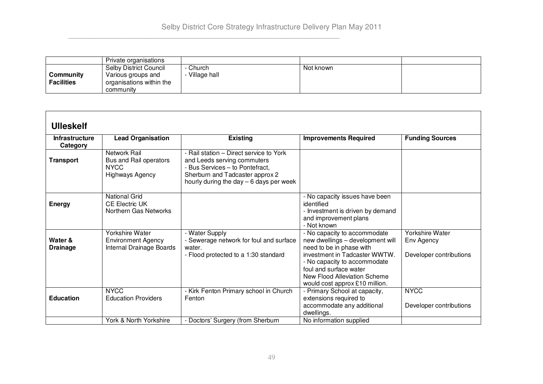|                   | Private organisations         |              |           |  |
|-------------------|-------------------------------|--------------|-----------|--|
|                   | <b>Selby District Council</b> | Church       | Not known |  |
| Community         | Various groups and            | Village hall |           |  |
| <b>Facilities</b> | organisations within the      |              |           |  |
|                   | community                     |              |           |  |

| <b>Ulleskelf</b>                  |                                                                                        |                                                                                                                                                                                          |                                                                                                                                                                                                                                                           |                                                                 |
|-----------------------------------|----------------------------------------------------------------------------------------|------------------------------------------------------------------------------------------------------------------------------------------------------------------------------------------|-----------------------------------------------------------------------------------------------------------------------------------------------------------------------------------------------------------------------------------------------------------|-----------------------------------------------------------------|
| <b>Infrastructure</b><br>Category | <b>Lead Organisation</b>                                                               | <b>Existing</b>                                                                                                                                                                          | <b>Improvements Required</b>                                                                                                                                                                                                                              | <b>Funding Sources</b>                                          |
| <b>Transport</b>                  | <b>Network Rail</b><br>Bus and Rail operators<br><b>NYCC</b><br><b>Highways Agency</b> | - Rail station - Direct service to York<br>and Leeds serving commuters<br>- Bus Services - to Pontefract,<br>Sherburn and Tadcaster approx 2<br>hourly during the day $-6$ days per week |                                                                                                                                                                                                                                                           |                                                                 |
| <b>Energy</b>                     | <b>National Grid</b><br><b>CE Electric UK</b><br>Northern Gas Networks                 |                                                                                                                                                                                          | - No capacity issues have been<br>identified<br>- Investment is driven by demand<br>and improvement plans<br>- Not known                                                                                                                                  |                                                                 |
| Water &<br><b>Drainage</b>        | Yorkshire Water<br><b>Environment Agency</b><br>Internal Drainage Boards               | - Water Supply<br>- Sewerage network for foul and surface<br>water.<br>- Flood protected to a 1:30 standard                                                                              | - No capacity to accommodate<br>new dwellings - development will<br>need to be in phase with<br>investment in Tadcaster WWTW.<br>- No capacity to accommodate<br>foul and surface water<br>New Flood Alleviation Scheme<br>would cost approx £10 million. | <b>Yorkshire Water</b><br>Env Agency<br>Developer contributions |
| <b>Education</b>                  | <b>NYCC</b><br><b>Education Providers</b>                                              | - Kirk Fenton Primary school in Church<br>Fenton                                                                                                                                         | - Primary School at capacity,<br>extensions required to<br>accommodate any additional<br>dwellings.                                                                                                                                                       | <b>NYCC</b><br>Developer contributions                          |
|                                   | York & North Yorkshire                                                                 | - Doctors' Surgery (from Sherburn                                                                                                                                                        | No information supplied                                                                                                                                                                                                                                   |                                                                 |